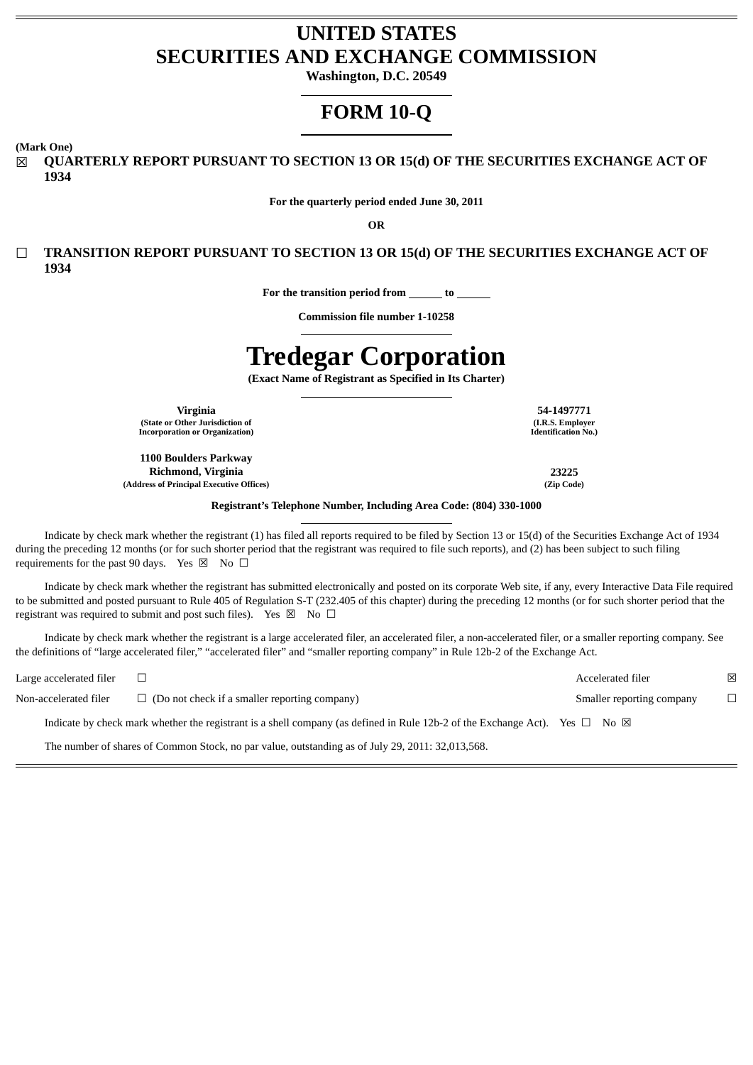# **UNITED STATES SECURITIES AND EXCHANGE COMMISSION**

**Washington, D.C. 20549**

# **FORM 10-Q**

**(Mark One)**

☒ **QUARTERLY REPORT PURSUANT TO SECTION 13 OR 15(d) OF THE SECURITIES EXCHANGE ACT OF 1934**

**For the quarterly period ended June 30, 2011**

**OR**

☐ **TRANSITION REPORT PURSUANT TO SECTION 13 OR 15(d) OF THE SECURITIES EXCHANGE ACT OF 1934**

For the transition period from <u>section</u> to

**Commission file number 1-10258**

# **Tredegar Corporation**

**(Exact Name of Registrant as Specified in Its Charter)**

**Virginia 54-1497771 (State or Other Jurisdiction of Incorporation or Organization)**

**1100 Boulders Parkway Richmond, Virginia 23225 (Address of Principal Executive Offices) (Zip Code)**

**(I.R.S. Employer Identification No.)**

**Registrant's Telephone Number, Including Area Code: (804) 330-1000**

Indicate by check mark whether the registrant (1) has filed all reports required to be filed by Section 13 or 15(d) of the Securities Exchange Act of 1934 during the preceding 12 months (or for such shorter period that the registrant was required to file such reports), and (2) has been subject to such filing requirements for the past 90 days. Yes  $\boxtimes$  No  $\Box$ 

Indicate by check mark whether the registrant has submitted electronically and posted on its corporate Web site, if any, every Interactive Data File required to be submitted and posted pursuant to Rule 405 of Regulation S-T (232.405 of this chapter) during the preceding 12 months (or for such shorter period that the registrant was required to submit and post such files). Yes  $\boxtimes$  No  $\Box$ 

Indicate by check mark whether the registrant is a large accelerated filer, an accelerated filer, a non-accelerated filer, or a smaller reporting company. See the definitions of "large accelerated filer," "accelerated filer" and "smaller reporting company" in Rule 12b-2 of the Exchange Act.

| Large accelerated filer |                                                                                                                                            | Accelerated filer         | ⊠ |
|-------------------------|--------------------------------------------------------------------------------------------------------------------------------------------|---------------------------|---|
| Non-accelerated filer   | $\Box$ (Do not check if a smaller reporting company)                                                                                       | Smaller reporting company |   |
|                         | Indicate by check mark whether the registrant is a shell company (as defined in Rule 12b-2 of the Exchange Act). Yes $\Box$ No $\boxtimes$ |                           |   |
|                         |                                                                                                                                            |                           |   |

The number of shares of Common Stock, no par value, outstanding as of July 29, 2011: 32,013,568.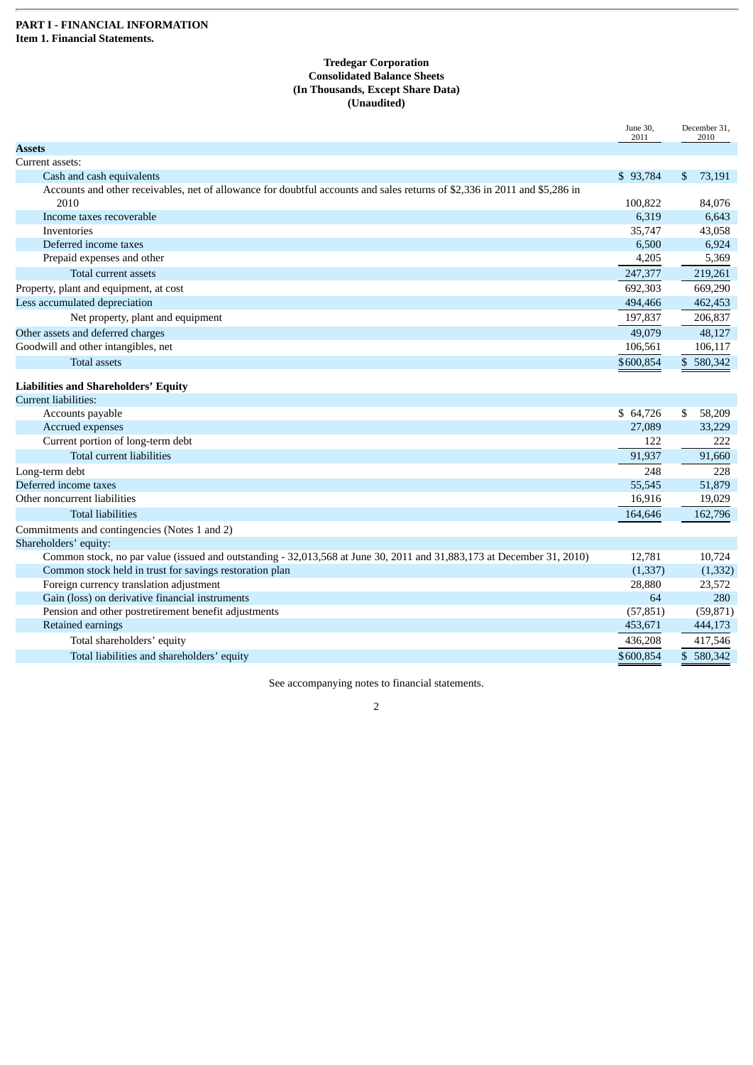#### **Tredegar Corporation Consolidated Balance Sheets (In Thousands, Except Share Data) (Unaudited)**

|                                                                                                                                                | June 30,<br>2011 | December 31,<br>2010   |
|------------------------------------------------------------------------------------------------------------------------------------------------|------------------|------------------------|
| <b>Assets</b>                                                                                                                                  |                  |                        |
| Current assets:                                                                                                                                |                  |                        |
| Cash and cash equivalents                                                                                                                      | \$93,784         | $\mathbb{S}$<br>73,191 |
| Accounts and other receivables, net of allowance for doubtful accounts and sales returns of \$2,336 in 2011 and \$5,286 in                     |                  |                        |
| 2010                                                                                                                                           | 100,822          | 84,076                 |
| Income taxes recoverable                                                                                                                       | 6,319            | 6,643                  |
| Inventories                                                                                                                                    | 35,747           | 43,058                 |
| Deferred income taxes                                                                                                                          | 6,500            | 6,924                  |
| Prepaid expenses and other                                                                                                                     | 4,205            | 5,369                  |
| Total current assets                                                                                                                           | 247,377          | 219,261                |
| Property, plant and equipment, at cost                                                                                                         | 692,303          | 669,290                |
| Less accumulated depreciation                                                                                                                  | 494,466          | 462,453                |
| Net property, plant and equipment                                                                                                              | 197,837          | 206,837                |
| Other assets and deferred charges                                                                                                              | 49,079           | 48,127                 |
| Goodwill and other intangibles, net                                                                                                            | 106,561          | 106,117                |
| <b>Total assets</b>                                                                                                                            | \$600,854        | \$580,342              |
| <b>Liabilities and Shareholders' Equity</b>                                                                                                    |                  |                        |
| Current liabilities:                                                                                                                           |                  |                        |
| Accounts payable                                                                                                                               | \$64,726         | 58,209<br>\$           |
| Accrued expenses                                                                                                                               | 27,089           | 33,229                 |
| Current portion of long-term debt                                                                                                              | 122              | 222                    |
| Total current liabilities                                                                                                                      | 91,937           | 91,660                 |
| Long-term debt                                                                                                                                 | 248              | 228                    |
| Deferred income taxes                                                                                                                          | 55,545           | 51,879                 |
| Other noncurrent liabilities                                                                                                                   | 16,916           | 19,029                 |
| <b>Total liabilities</b>                                                                                                                       | 164,646          | 162,796                |
|                                                                                                                                                |                  |                        |
| Commitments and contingencies (Notes 1 and 2)                                                                                                  |                  |                        |
| Shareholders' equity:<br>Common stock, no par value (issued and outstanding - 32,013,568 at June 30, 2011 and 31,883,173 at December 31, 2010) | 12,781           | 10,724                 |
| Common stock held in trust for savings restoration plan                                                                                        | (1, 337)         | (1, 332)               |
| Foreign currency translation adjustment                                                                                                        | 28,880           | 23,572                 |
| Gain (loss) on derivative financial instruments                                                                                                | 64               | 280                    |
| Pension and other postretirement benefit adjustments                                                                                           | (57, 851)        | (59, 871)              |
| Retained earnings                                                                                                                              | 453,671          | 444,173                |
| Total shareholders' equity                                                                                                                     | 436,208          | 417,546                |
| Total liabilities and shareholders' equity                                                                                                     | \$600,854        | \$580,342              |
|                                                                                                                                                |                  |                        |

See accompanying notes to financial statements.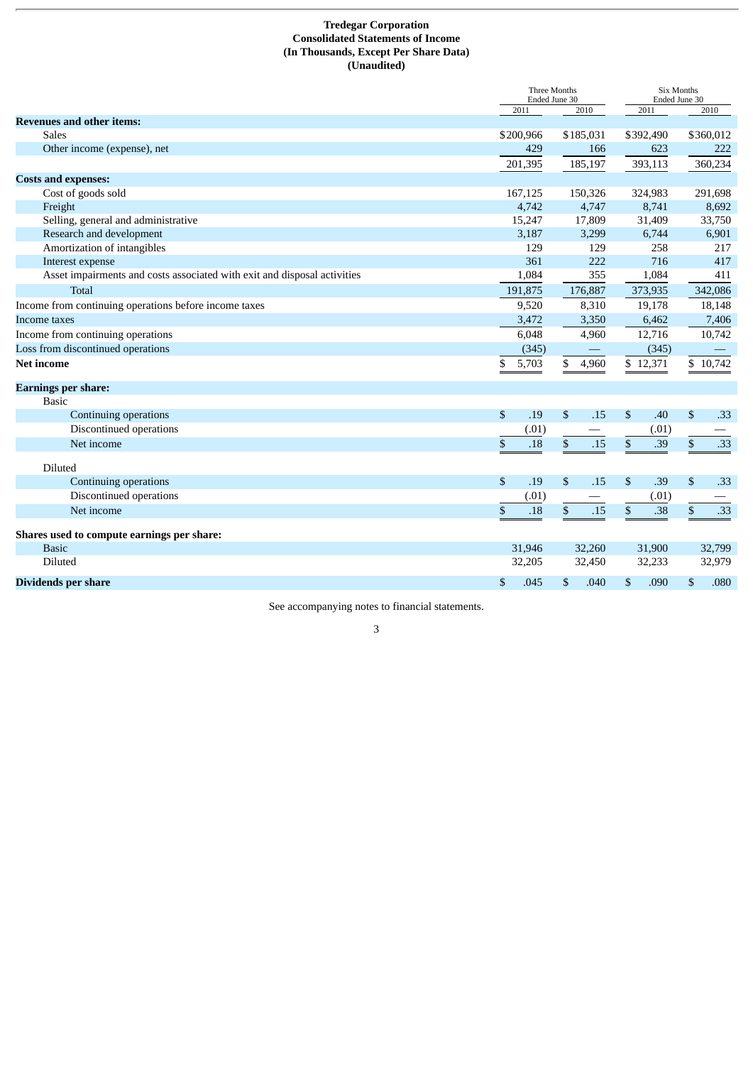## **Tredegar Corporation Consolidated Statements of Income (In Thousands, Except Per Share Data) (Unaudited)**

|                                                                          |                     | Three Months<br>Ended June 30 | <b>Six Months</b><br>Ended June 30 |                        |  |
|--------------------------------------------------------------------------|---------------------|-------------------------------|------------------------------------|------------------------|--|
|                                                                          | 2011                | 2010                          | 2011                               | 2010                   |  |
| <b>Revenues and other items:</b>                                         |                     |                               |                                    |                        |  |
| <b>Sales</b>                                                             | \$200,966           | \$185,031                     | \$392,490                          | \$360,012              |  |
| Other income (expense), net                                              | 429                 | 166                           | 623                                | 222                    |  |
|                                                                          | 201,395             | 185,197                       | 393,113                            | 360,234                |  |
| <b>Costs and expenses:</b>                                               |                     |                               |                                    |                        |  |
| Cost of goods sold                                                       | 167,125             | 150,326                       | 324,983                            | 291,698                |  |
| Freight                                                                  | 4,742               | 4,747                         | 8,741                              | 8,692                  |  |
| Selling, general and administrative                                      | 15,247              | 17,809                        | 31,409                             | 33,750                 |  |
| Research and development                                                 | 3,187               | 3,299                         | 6,744                              | 6,901                  |  |
| Amortization of intangibles                                              | 129                 | 129                           | 258                                | 217                    |  |
| Interest expense                                                         | 361                 | 222                           | 716                                | 417                    |  |
| Asset impairments and costs associated with exit and disposal activities | 1,084               | 355                           | 1,084                              | 411                    |  |
| <b>Total</b>                                                             | 191,875             | 176,887                       | 373,935                            | 342,086                |  |
| Income from continuing operations before income taxes                    | 9,520               | 8,310                         | 19,178                             | 18,148                 |  |
| Income taxes                                                             | 3,472               | 3,350                         | 6,462                              | 7,406                  |  |
| Income from continuing operations                                        | 6,048               | 4,960                         | 12,716                             | 10,742                 |  |
| Loss from discontinued operations                                        | (345)               | $\overline{\phantom{0}}$      | (345)                              |                        |  |
| <b>Net income</b>                                                        | 5,703<br>\$         | \$<br>4,960                   | \$12,371                           | \$10,742               |  |
|                                                                          |                     |                               |                                    |                        |  |
| <b>Earnings per share:</b>                                               |                     |                               |                                    |                        |  |
| <b>Basic</b>                                                             |                     |                               |                                    |                        |  |
| Continuing operations                                                    | $\mathbf S$<br>.19  | \$<br>.15                     | \$<br>.40                          | \$<br>.33              |  |
| Discontinued operations                                                  | (.01)               |                               | (.01)                              |                        |  |
| Net income                                                               | $\mathbb{S}$<br>.18 | .15<br>\$                     | .39<br>\$                          | .33<br>$\mathbb{S}$    |  |
| Diluted                                                                  |                     |                               |                                    |                        |  |
| Continuing operations                                                    | $\mathbb{S}$<br>.19 | \$<br>.15                     | \$<br>.39                          | \$<br>.33              |  |
| Discontinued operations                                                  | (.01)               |                               | (.01)                              |                        |  |
| Net income                                                               | .18<br>\$           | .15<br>\$                     | .38<br>\$                          | $\overline{.}33$<br>\$ |  |
|                                                                          |                     |                               |                                    |                        |  |
| Shares used to compute earnings per share:                               |                     |                               |                                    |                        |  |
| <b>Basic</b>                                                             | 31,946              | 32,260                        | 31,900                             | 32,799                 |  |
| Diluted                                                                  | 32,205              | 32,450                        | 32,233                             | 32,979                 |  |
| Dividends per share                                                      | \$<br>.045          | \$<br>.040                    | \$<br>.090                         | \$<br>.080             |  |

See accompanying notes to financial statements.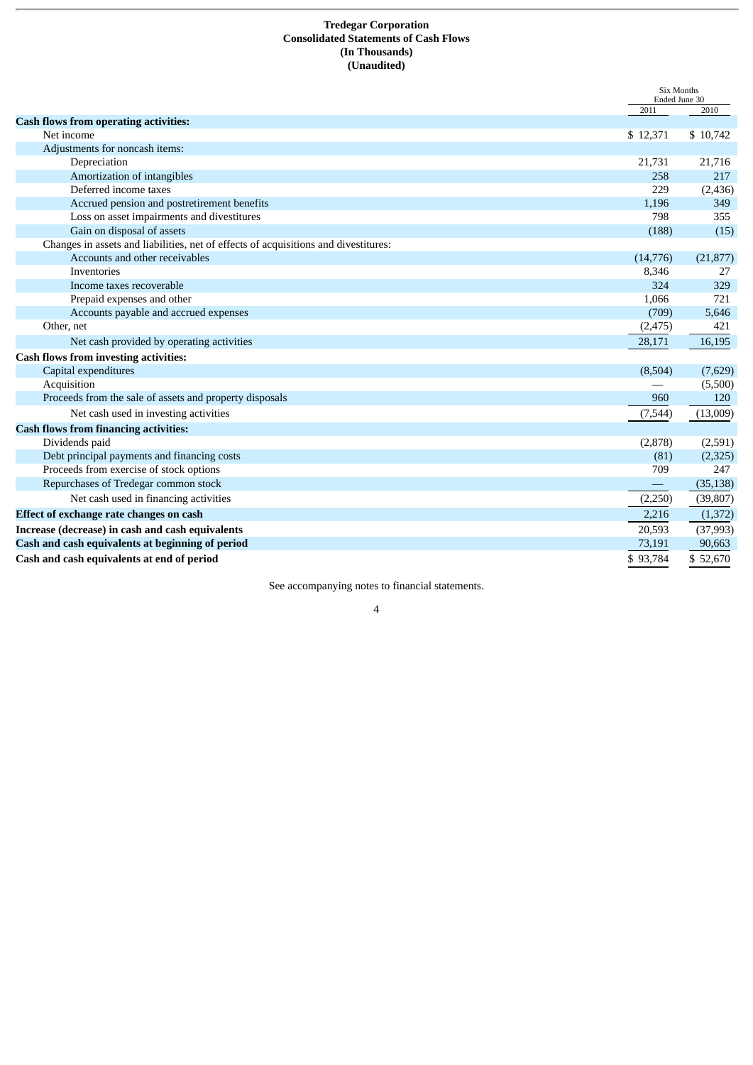#### **Tredegar Corporation Consolidated Statements of Cash Flows (In Thousands) (Unaudited)**

|                                                                                     | <b>Six Months</b><br>Ended June 30 |           |
|-------------------------------------------------------------------------------------|------------------------------------|-----------|
|                                                                                     | 2011                               | 2010      |
| <b>Cash flows from operating activities:</b>                                        |                                    |           |
| Net income                                                                          | \$12,371                           | \$10,742  |
| Adjustments for noncash items:                                                      |                                    |           |
| Depreciation                                                                        | 21,731                             | 21,716    |
| Amortization of intangibles                                                         | 258                                | 217       |
| Deferred income taxes                                                               | 229                                | (2, 436)  |
| Accrued pension and postretirement benefits                                         | 1,196                              | 349       |
| Loss on asset impairments and divestitures                                          | 798                                | 355       |
| Gain on disposal of assets                                                          | (188)                              | (15)      |
| Changes in assets and liabilities, net of effects of acquisitions and divestitures: |                                    |           |
| Accounts and other receivables                                                      | (14,776)                           | (21, 877) |
| Inventories                                                                         | 8,346                              | 27        |
| Income taxes recoverable                                                            | 324                                | 329       |
| Prepaid expenses and other                                                          | 1,066                              | 721       |
| Accounts payable and accrued expenses                                               | (709)                              | 5,646     |
| Other, net                                                                          | (2, 475)                           | 421       |
| Net cash provided by operating activities                                           | 28,171                             | 16,195    |
| <b>Cash flows from investing activities:</b>                                        |                                    |           |
| Capital expenditures                                                                | (8,504)                            | (7,629)   |
| Acquisition                                                                         |                                    | (5,500)   |
| Proceeds from the sale of assets and property disposals                             | 960                                | 120       |
| Net cash used in investing activities                                               | (7, 544)                           | (13,009)  |
| <b>Cash flows from financing activities:</b>                                        |                                    |           |
| Dividends paid                                                                      | (2,878)                            | (2,591)   |
| Debt principal payments and financing costs                                         | (81)                               | (2, 325)  |
| Proceeds from exercise of stock options                                             | 709                                | 247       |
| Repurchases of Tredegar common stock                                                | $\overline{\phantom{0}}$           | (35, 138) |
| Net cash used in financing activities                                               | (2,250)                            | (39, 807) |
| Effect of exchange rate changes on cash                                             | 2,216                              | (1, 372)  |
| Increase (decrease) in cash and cash equivalents                                    | 20,593                             | (37, 993) |
| Cash and cash equivalents at beginning of period                                    | 73,191                             | 90,663    |
| Cash and cash equivalents at end of period                                          | \$93,784                           | \$52,670  |

See accompanying notes to financial statements.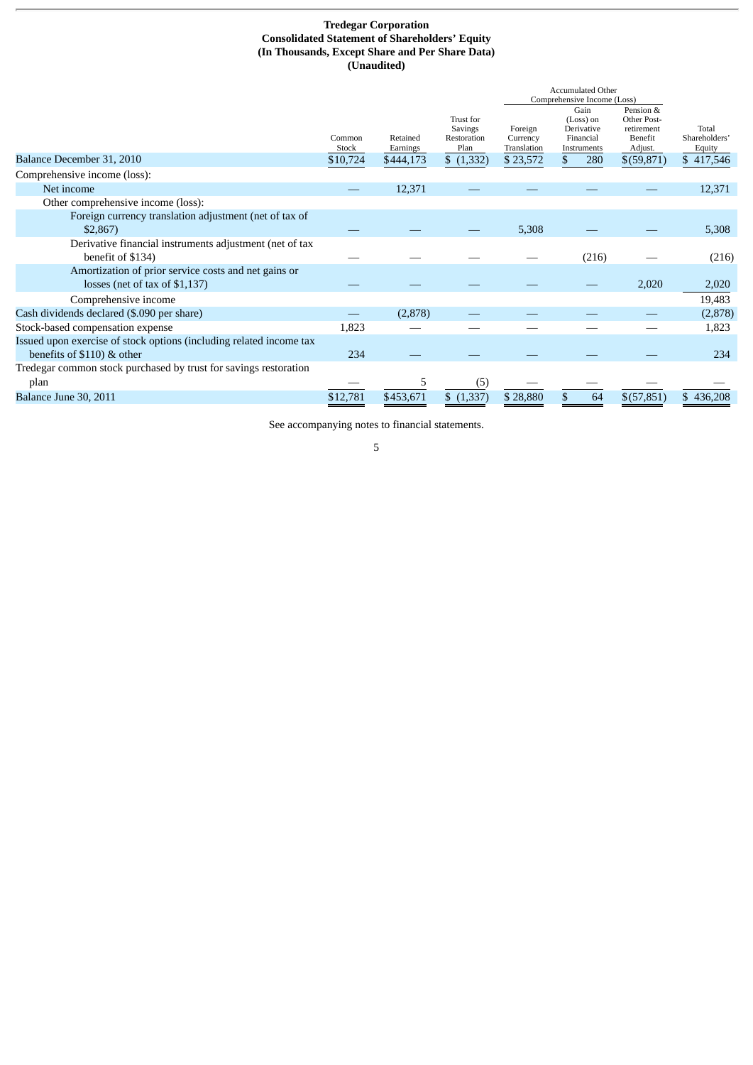#### **Tredegar Corporation Consolidated Statement of Shareholders' Equity (In Thousands, Except Share and Per Share Data) (Unaudited)**

|                                                                     |                 |                      |                     | <b>Accumulated Other</b> |                                     |                    |                         |
|---------------------------------------------------------------------|-----------------|----------------------|---------------------|--------------------------|-------------------------------------|--------------------|-------------------------|
|                                                                     |                 |                      |                     |                          | Comprehensive Income (Loss)<br>Gain | Pension &          |                         |
|                                                                     |                 |                      | Trust for           |                          | $(Loss)$ on                         | Other Post-        |                         |
|                                                                     |                 |                      | Savings             | Foreign                  | Derivative                          | retirement         | Total                   |
|                                                                     | Common<br>Stock | Retained<br>Earnings | Restoration<br>Plan | Currency<br>Translation  | Financial<br>Instruments            | Benefit<br>Adjust. | Shareholders'<br>Equity |
| Balance December 31, 2010                                           | \$10,724        | \$444,173            | \$(1,332)           | \$23,572                 | 280<br>\$.                          | \$(59, 871)        | \$417,546               |
| Comprehensive income (loss):                                        |                 |                      |                     |                          |                                     |                    |                         |
| Net income                                                          |                 | 12,371               |                     |                          |                                     |                    | 12,371                  |
| Other comprehensive income (loss):                                  |                 |                      |                     |                          |                                     |                    |                         |
| Foreign currency translation adjustment (net of tax of              |                 |                      |                     |                          |                                     |                    |                         |
| \$2,867                                                             |                 |                      |                     | 5,308                    |                                     |                    | 5,308                   |
| Derivative financial instruments adjustment (net of tax             |                 |                      |                     |                          |                                     |                    |                         |
| benefit of \$134)                                                   |                 |                      |                     |                          | (216)                               |                    | (216)                   |
| Amortization of prior service costs and net gains or                |                 |                      |                     |                          |                                     |                    |                         |
| losses (net of tax of $$1,137$ )                                    |                 |                      |                     |                          |                                     | 2,020              | 2,020                   |
| Comprehensive income                                                |                 |                      |                     |                          |                                     |                    | 19,483                  |
| Cash dividends declared (\$.090 per share)                          |                 | (2,878)              |                     |                          |                                     |                    | (2,878)                 |
| Stock-based compensation expense                                    | 1,823           |                      |                     |                          |                                     |                    | 1,823                   |
| Issued upon exercise of stock options (including related income tax |                 |                      |                     |                          |                                     |                    |                         |
| benefits of \$110) & other                                          | 234             |                      |                     |                          |                                     |                    | 234                     |
| Tredegar common stock purchased by trust for savings restoration    |                 |                      |                     |                          |                                     |                    |                         |
| plan                                                                |                 | 5                    | (5)                 |                          |                                     |                    |                         |
| Balance June 30, 2011                                               | \$12,781        | \$453,671            | \$(1,337)           | \$28,880                 | 64                                  | \$(57, 851)        | 436,208<br>\$.          |

See accompanying notes to financial statements.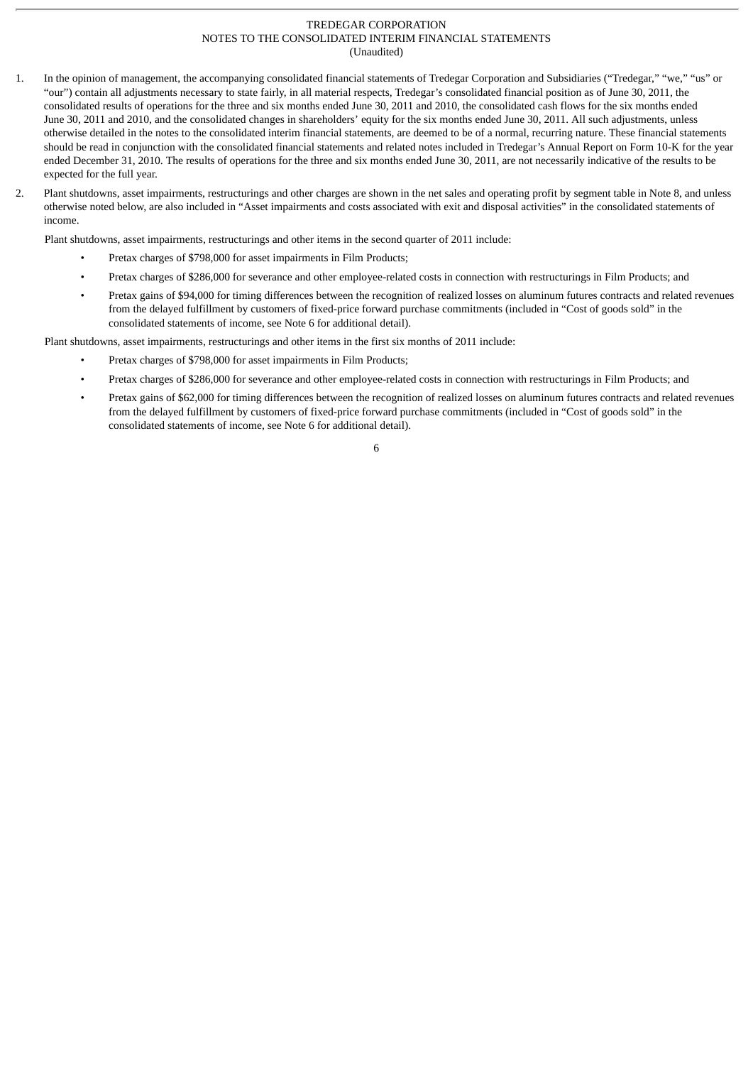#### TREDEGAR CORPORATION NOTES TO THE CONSOLIDATED INTERIM FINANCIAL STATEMENTS (Unaudited)

- 1. In the opinion of management, the accompanying consolidated financial statements of Tredegar Corporation and Subsidiaries ("Tredegar," "we," "us" or "our") contain all adjustments necessary to state fairly, in all material respects, Tredegar's consolidated financial position as of June 30, 2011, the consolidated results of operations for the three and six months ended June 30, 2011 and 2010, the consolidated cash flows for the six months ended June 30, 2011 and 2010, and the consolidated changes in shareholders' equity for the six months ended June 30, 2011. All such adjustments, unless otherwise detailed in the notes to the consolidated interim financial statements, are deemed to be of a normal, recurring nature. These financial statements should be read in conjunction with the consolidated financial statements and related notes included in Tredegar's Annual Report on Form 10-K for the year ended December 31, 2010. The results of operations for the three and six months ended June 30, 2011, are not necessarily indicative of the results to be expected for the full year.
- 2. Plant shutdowns, asset impairments, restructurings and other charges are shown in the net sales and operating profit by segment table in Note 8, and unless otherwise noted below, are also included in "Asset impairments and costs associated with exit and disposal activities" in the consolidated statements of income.

Plant shutdowns, asset impairments, restructurings and other items in the second quarter of 2011 include:

- Pretax charges of \$798,000 for asset impairments in Film Products;
- Pretax charges of \$286,000 for severance and other employee-related costs in connection with restructurings in Film Products; and
- Pretax gains of \$94,000 for timing differences between the recognition of realized losses on aluminum futures contracts and related revenues from the delayed fulfillment by customers of fixed-price forward purchase commitments (included in "Cost of goods sold" in the consolidated statements of income, see Note 6 for additional detail).

Plant shutdowns, asset impairments, restructurings and other items in the first six months of 2011 include:

- Pretax charges of \$798,000 for asset impairments in Film Products;
- Pretax charges of \$286,000 for severance and other employee-related costs in connection with restructurings in Film Products; and
- Pretax gains of \$62,000 for timing differences between the recognition of realized losses on aluminum futures contracts and related revenues from the delayed fulfillment by customers of fixed-price forward purchase commitments (included in "Cost of goods sold" in the consolidated statements of income, see Note 6 for additional detail).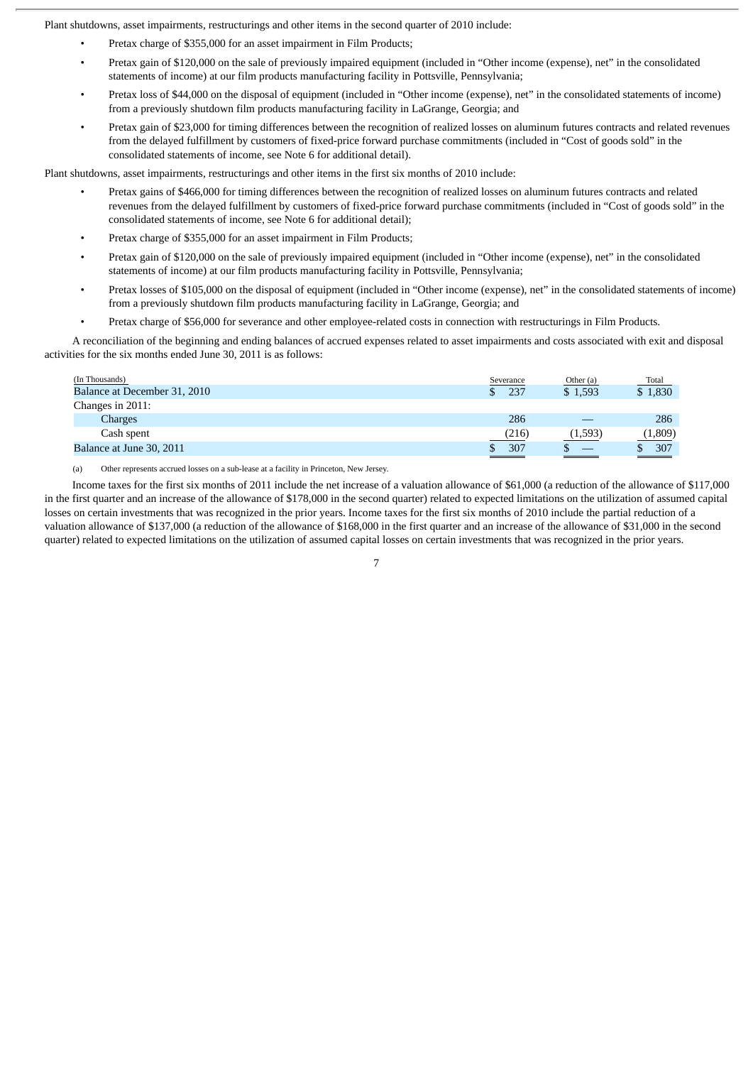Plant shutdowns, asset impairments, restructurings and other items in the second quarter of 2010 include:

- Pretax charge of \$355,000 for an asset impairment in Film Products;
- Pretax gain of \$120,000 on the sale of previously impaired equipment (included in "Other income (expense), net" in the consolidated statements of income) at our film products manufacturing facility in Pottsville, Pennsylvania;
- Pretax loss of \$44,000 on the disposal of equipment (included in "Other income (expense), net" in the consolidated statements of income) from a previously shutdown film products manufacturing facility in LaGrange, Georgia; and
- Pretax gain of \$23,000 for timing differences between the recognition of realized losses on aluminum futures contracts and related revenues from the delayed fulfillment by customers of fixed-price forward purchase commitments (included in "Cost of goods sold" in the consolidated statements of income, see Note 6 for additional detail).

Plant shutdowns, asset impairments, restructurings and other items in the first six months of 2010 include:

- Pretax gains of \$466,000 for timing differences between the recognition of realized losses on aluminum futures contracts and related revenues from the delayed fulfillment by customers of fixed-price forward purchase commitments (included in "Cost of goods sold" in the consolidated statements of income, see Note 6 for additional detail);
- Pretax charge of \$355,000 for an asset impairment in Film Products;
- Pretax gain of \$120,000 on the sale of previously impaired equipment (included in "Other income (expense), net" in the consolidated statements of income) at our film products manufacturing facility in Pottsville, Pennsylvania;
- Pretax losses of \$105,000 on the disposal of equipment (included in "Other income (expense), net" in the consolidated statements of income) from a previously shutdown film products manufacturing facility in LaGrange, Georgia; and
- Pretax charge of \$56,000 for severance and other employee-related costs in connection with restructurings in Film Products.

A reconciliation of the beginning and ending balances of accrued expenses related to asset impairments and costs associated with exit and disposal activities for the six months ended June 30, 2011 is as follows:

| Severance | Other $(a)$ | Total   |
|-----------|-------------|---------|
| 237       | \$1,593     | \$1,830 |
|           |             |         |
| 286       |             | 286     |
| (216)     | (1,593)     | (1,809) |
| 307       |             | 307     |
|           |             |         |

(a) Other represents accrued losses on a sub-lease at a facility in Princeton, New Jersey.

Income taxes for the first six months of 2011 include the net increase of a valuation allowance of \$61,000 (a reduction of the allowance of \$117,000 in the first quarter and an increase of the allowance of \$178,000 in the second quarter) related to expected limitations on the utilization of assumed capital losses on certain investments that was recognized in the prior years. Income taxes for the first six months of 2010 include the partial reduction of a valuation allowance of \$137,000 (a reduction of the allowance of \$168,000 in the first quarter and an increase of the allowance of \$31,000 in the second quarter) related to expected limitations on the utilization of assumed capital losses on certain investments that was recognized in the prior years.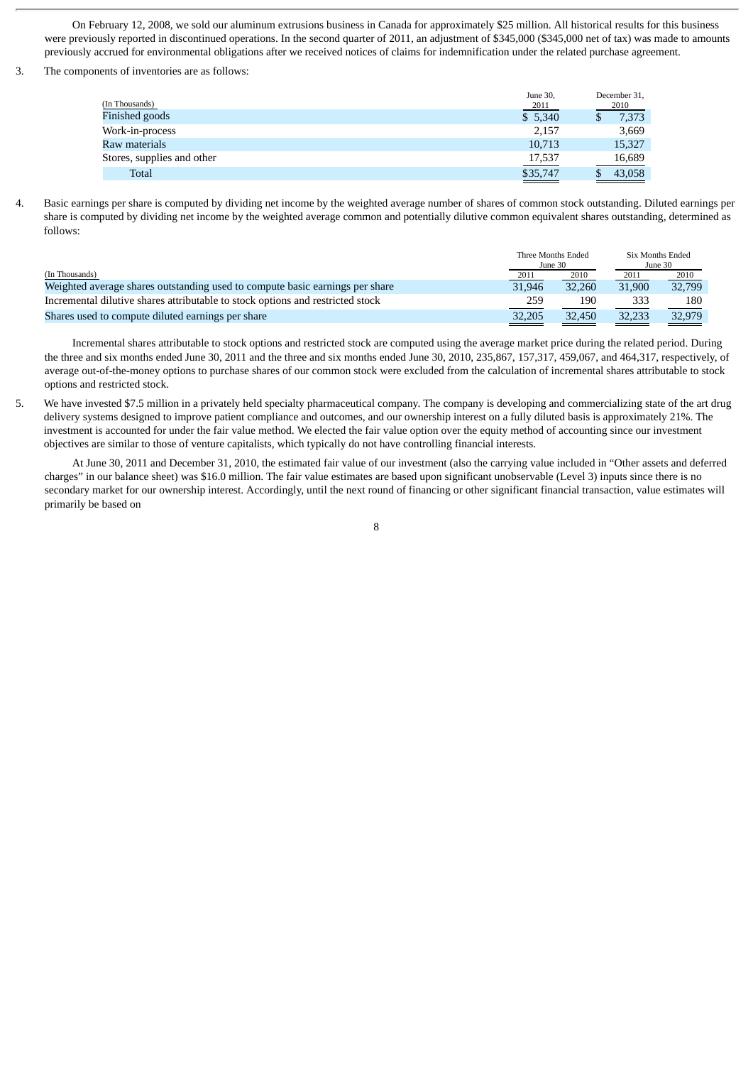On February 12, 2008, we sold our aluminum extrusions business in Canada for approximately \$25 million. All historical results for this business were previously reported in discontinued operations. In the second quarter of 2011, an adjustment of \$345,000 (\$345,000 net of tax) was made to amounts previously accrued for environmental obligations after we received notices of claims for indemnification under the related purchase agreement.

3. The components of inventories are as follows:

| (In Thousands)             | June 30,<br>2011 | December 31,<br>2010 |
|----------------------------|------------------|----------------------|
| Finished goods             | \$5,340          | \$<br>7,373          |
| Work-in-process            | 2,157            | 3,669                |
| Raw materials              | 10,713           | 15,327               |
| Stores, supplies and other | 17,537           | 16,689               |
| Total                      | \$35,747         | 43,058               |

4. Basic earnings per share is computed by dividing net income by the weighted average number of shares of common stock outstanding. Diluted earnings per share is computed by dividing net income by the weighted average common and potentially dilutive common equivalent shares outstanding, determined as follows:

|                                                                                | Three Months Ended<br>June 30 |        | <b>Six Months Ended</b><br>June 30 |        |
|--------------------------------------------------------------------------------|-------------------------------|--------|------------------------------------|--------|
| (In Thousands)                                                                 | 2011                          | 2010   | 2011                               | 2010   |
| Weighted average shares outstanding used to compute basic earnings per share   | 31.946                        | 32.260 | 31,900                             | 32,799 |
| Incremental dilutive shares attributable to stock options and restricted stock | 259                           | 190    | 333                                | 180    |
| Shares used to compute diluted earnings per share                              | 32,205                        | 32,450 | 32.233                             | 32,979 |

Incremental shares attributable to stock options and restricted stock are computed using the average market price during the related period. During the three and six months ended June 30, 2011 and the three and six months ended June 30, 2010, 235,867, 157,317, 459,067, and 464,317, respectively, of average out-of-the-money options to purchase shares of our common stock were excluded from the calculation of incremental shares attributable to stock options and restricted stock.

5. We have invested \$7.5 million in a privately held specialty pharmaceutical company. The company is developing and commercializing state of the art drug delivery systems designed to improve patient compliance and outcomes, and our ownership interest on a fully diluted basis is approximately 21%. The investment is accounted for under the fair value method. We elected the fair value option over the equity method of accounting since our investment objectives are similar to those of venture capitalists, which typically do not have controlling financial interests.

At June 30, 2011 and December 31, 2010, the estimated fair value of our investment (also the carrying value included in "Other assets and deferred charges" in our balance sheet) was \$16.0 million. The fair value estimates are based upon significant unobservable (Level 3) inputs since there is no secondary market for our ownership interest. Accordingly, until the next round of financing or other significant financial transaction, value estimates will primarily be based on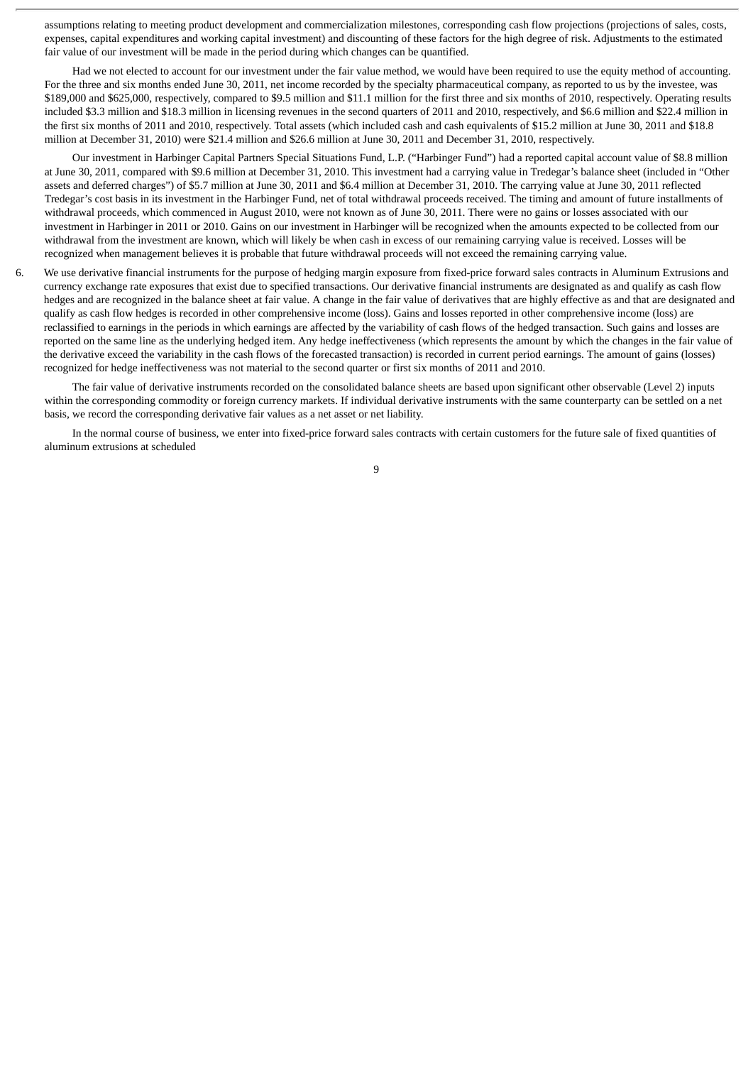assumptions relating to meeting product development and commercialization milestones, corresponding cash flow projections (projections of sales, costs, expenses, capital expenditures and working capital investment) and discounting of these factors for the high degree of risk. Adjustments to the estimated fair value of our investment will be made in the period during which changes can be quantified.

Had we not elected to account for our investment under the fair value method, we would have been required to use the equity method of accounting. For the three and six months ended June 30, 2011, net income recorded by the specialty pharmaceutical company, as reported to us by the investee, was \$189,000 and \$625,000, respectively, compared to \$9.5 million and \$11.1 million for the first three and six months of 2010, respectively. Operating results included \$3.3 million and \$18.3 million in licensing revenues in the second quarters of 2011 and 2010, respectively, and \$6.6 million and \$22.4 million in the first six months of 2011 and 2010, respectively. Total assets (which included cash and cash equivalents of \$15.2 million at June 30, 2011 and \$18.8 million at December 31, 2010) were \$21.4 million and \$26.6 million at June 30, 2011 and December 31, 2010, respectively.

Our investment in Harbinger Capital Partners Special Situations Fund, L.P. ("Harbinger Fund") had a reported capital account value of \$8.8 million at June 30, 2011, compared with \$9.6 million at December 31, 2010. This investment had a carrying value in Tredegar's balance sheet (included in "Other assets and deferred charges") of \$5.7 million at June 30, 2011 and \$6.4 million at December 31, 2010. The carrying value at June 30, 2011 reflected Tredegar's cost basis in its investment in the Harbinger Fund, net of total withdrawal proceeds received. The timing and amount of future installments of withdrawal proceeds, which commenced in August 2010, were not known as of June 30, 2011. There were no gains or losses associated with our investment in Harbinger in 2011 or 2010. Gains on our investment in Harbinger will be recognized when the amounts expected to be collected from our withdrawal from the investment are known, which will likely be when cash in excess of our remaining carrying value is received. Losses will be recognized when management believes it is probable that future withdrawal proceeds will not exceed the remaining carrying value.

6. We use derivative financial instruments for the purpose of hedging margin exposure from fixed-price forward sales contracts in Aluminum Extrusions and currency exchange rate exposures that exist due to specified transactions. Our derivative financial instruments are designated as and qualify as cash flow hedges and are recognized in the balance sheet at fair value. A change in the fair value of derivatives that are highly effective as and that are designated and qualify as cash flow hedges is recorded in other comprehensive income (loss). Gains and losses reported in other comprehensive income (loss) are reclassified to earnings in the periods in which earnings are affected by the variability of cash flows of the hedged transaction. Such gains and losses are reported on the same line as the underlying hedged item. Any hedge ineffectiveness (which represents the amount by which the changes in the fair value of the derivative exceed the variability in the cash flows of the forecasted transaction) is recorded in current period earnings. The amount of gains (losses) recognized for hedge ineffectiveness was not material to the second quarter or first six months of 2011 and 2010.

The fair value of derivative instruments recorded on the consolidated balance sheets are based upon significant other observable (Level 2) inputs within the corresponding commodity or foreign currency markets. If individual derivative instruments with the same counterparty can be settled on a net basis, we record the corresponding derivative fair values as a net asset or net liability.

In the normal course of business, we enter into fixed-price forward sales contracts with certain customers for the future sale of fixed quantities of aluminum extrusions at scheduled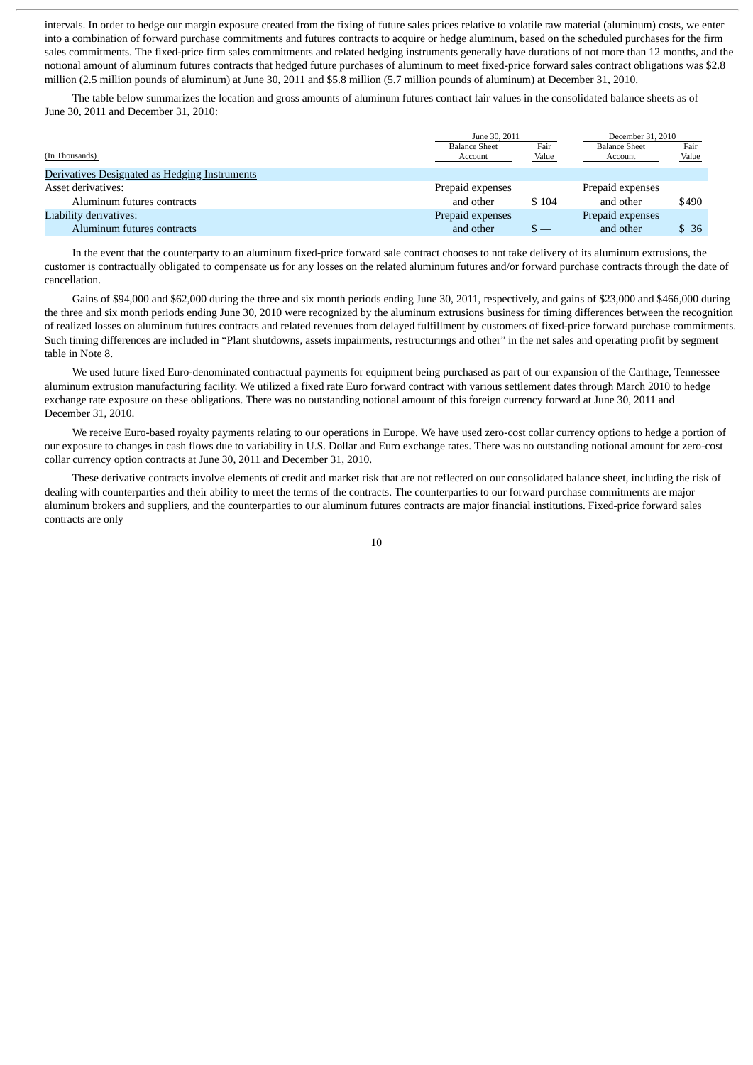intervals. In order to hedge our margin exposure created from the fixing of future sales prices relative to volatile raw material (aluminum) costs, we enter into a combination of forward purchase commitments and futures contracts to acquire or hedge aluminum, based on the scheduled purchases for the firm sales commitments. The fixed-price firm sales commitments and related hedging instruments generally have durations of not more than 12 months, and the notional amount of aluminum futures contracts that hedged future purchases of aluminum to meet fixed-price forward sales contract obligations was \$2.8 million (2.5 million pounds of aluminum) at June 30, 2011 and \$5.8 million (5.7 million pounds of aluminum) at December 31, 2010.

The table below summarizes the location and gross amounts of aluminum futures contract fair values in the consolidated balance sheets as of June 30, 2011 and December 31, 2010:

|                                               | June 30, 2011                   |               | December 31, 2010               |               |  |
|-----------------------------------------------|---------------------------------|---------------|---------------------------------|---------------|--|
| (In Thousands)                                | <b>Balance Sheet</b><br>Account | Fair<br>Value | <b>Balance Sheet</b><br>Account | Fair<br>Value |  |
| Derivatives Designated as Hedging Instruments |                                 |               |                                 |               |  |
| Asset derivatives:                            | Prepaid expenses                |               | Prepaid expenses                |               |  |
| Aluminum futures contracts                    | and other                       | \$104         | and other                       | \$490         |  |
| Liability derivatives:                        | Prepaid expenses                |               | Prepaid expenses                |               |  |
| Aluminum futures contracts                    | and other                       | $s -$         | and other                       | \$36          |  |

In the event that the counterparty to an aluminum fixed-price forward sale contract chooses to not take delivery of its aluminum extrusions, the customer is contractually obligated to compensate us for any losses on the related aluminum futures and/or forward purchase contracts through the date of cancellation.

Gains of \$94,000 and \$62,000 during the three and six month periods ending June 30, 2011, respectively, and gains of \$23,000 and \$466,000 during the three and six month periods ending June 30, 2010 were recognized by the aluminum extrusions business for timing differences between the recognition of realized losses on aluminum futures contracts and related revenues from delayed fulfillment by customers of fixed-price forward purchase commitments. Such timing differences are included in "Plant shutdowns, assets impairments, restructurings and other" in the net sales and operating profit by segment table in Note 8.

We used future fixed Euro-denominated contractual payments for equipment being purchased as part of our expansion of the Carthage, Tennessee aluminum extrusion manufacturing facility. We utilized a fixed rate Euro forward contract with various settlement dates through March 2010 to hedge exchange rate exposure on these obligations. There was no outstanding notional amount of this foreign currency forward at June 30, 2011 and December 31, 2010.

We receive Euro-based royalty payments relating to our operations in Europe. We have used zero-cost collar currency options to hedge a portion of our exposure to changes in cash flows due to variability in U.S. Dollar and Euro exchange rates. There was no outstanding notional amount for zero-cost collar currency option contracts at June 30, 2011 and December 31, 2010.

These derivative contracts involve elements of credit and market risk that are not reflected on our consolidated balance sheet, including the risk of dealing with counterparties and their ability to meet the terms of the contracts. The counterparties to our forward purchase commitments are major aluminum brokers and suppliers, and the counterparties to our aluminum futures contracts are major financial institutions. Fixed-price forward sales contracts are only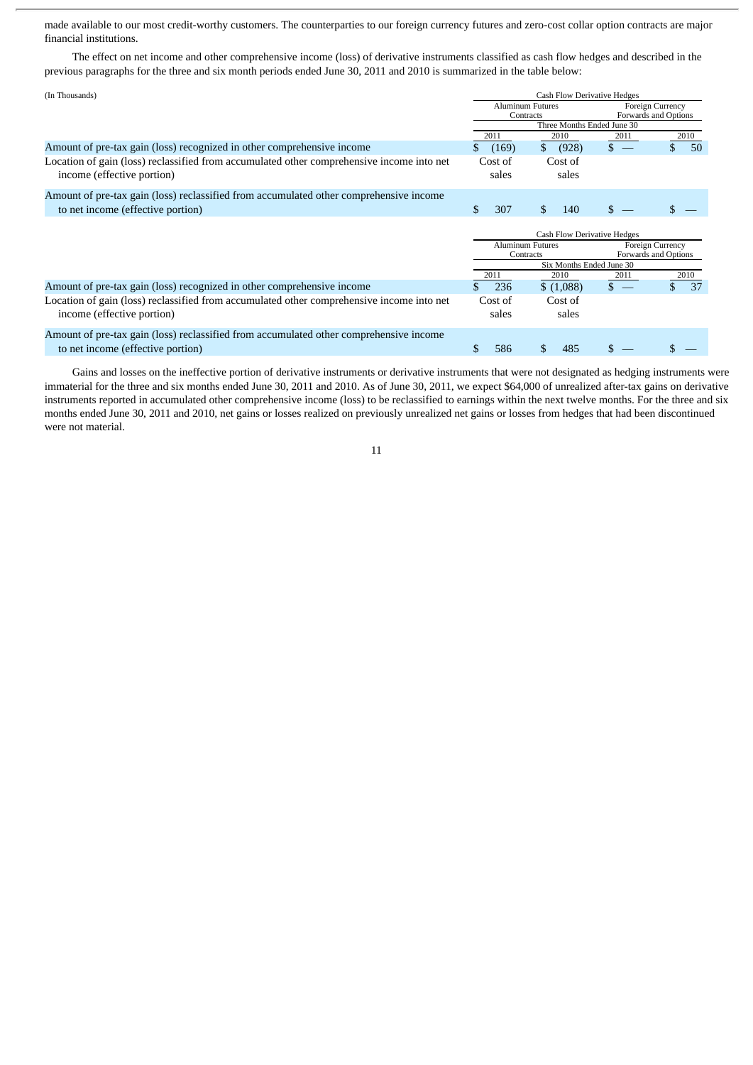made available to our most credit-worthy customers. The counterparties to our foreign currency futures and zero-cost collar option contracts are major financial institutions.

The effect on net income and other comprehensive income (loss) of derivative instruments classified as cash flow hedges and described in the previous paragraphs for the three and six month periods ended June 30, 2011 and 2010 is summarized in the table below:

| (In Thousands)                                                                            | <b>Cash Flow Derivative Hedges</b> |                                    |       |                         |  |  |
|-------------------------------------------------------------------------------------------|------------------------------------|------------------------------------|-------|-------------------------|--|--|
|                                                                                           |                                    | <b>Aluminum Futures</b>            |       | Foreign Currency        |  |  |
|                                                                                           |                                    | Contracts                          |       | Forwards and Options    |  |  |
|                                                                                           |                                    | Three Months Ended June 30         |       |                         |  |  |
|                                                                                           | 2011                               | 2010                               | 2011  | 2010                    |  |  |
| Amount of pre-tax gain (loss) recognized in other comprehensive income                    | \$.<br>(169)                       | $\mathbb{S}^-$<br>(928)            | $s -$ | \$<br>50                |  |  |
| Location of gain (loss) reclassified from accumulated other comprehensive income into net | Cost of                            | Cost of                            |       |                         |  |  |
| income (effective portion)                                                                | sales                              | sales                              |       |                         |  |  |
| Amount of pre-tax gain (loss) reclassified from accumulated other comprehensive income    |                                    |                                    |       |                         |  |  |
| to net income (effective portion)                                                         | \$<br>307                          | S.<br>140                          | \$    |                         |  |  |
|                                                                                           |                                    | <b>Cash Flow Derivative Hedges</b> |       |                         |  |  |
|                                                                                           |                                    | <b>Aluminum Futures</b>            |       | <b>Foreign Currency</b> |  |  |
|                                                                                           |                                    | Contracts                          |       | Forwards and Options    |  |  |
|                                                                                           |                                    | Six Months Ended June 30           |       |                         |  |  |
|                                                                                           | 2011                               | 2010                               | 2011  | 2010                    |  |  |
| Amount of pre-tax gain (loss) recognized in other comprehensive income                    | 236<br>\$.                         | \$(1,088)                          | $s -$ | \$37                    |  |  |
| Location of gain (loss) reclassified from accumulated other comprehensive income into net | Cost of                            | Cost of                            |       |                         |  |  |
| income (effective portion)                                                                | sales                              | sales                              |       |                         |  |  |
| Amount of pre-tax gain (loss) reclassified from accumulated other comprehensive income    |                                    |                                    |       |                         |  |  |
| to net income (effective portion)                                                         | \$<br>586                          | 485<br>\$                          |       |                         |  |  |

Gains and losses on the ineffective portion of derivative instruments or derivative instruments that were not designated as hedging instruments were immaterial for the three and six months ended June 30, 2011 and 2010. As of June 30, 2011, we expect \$64,000 of unrealized after-tax gains on derivative instruments reported in accumulated other comprehensive income (loss) to be reclassified to earnings within the next twelve months. For the three and six months ended June 30, 2011 and 2010, net gains or losses realized on previously unrealized net gains or losses from hedges that had been discontinued were not material.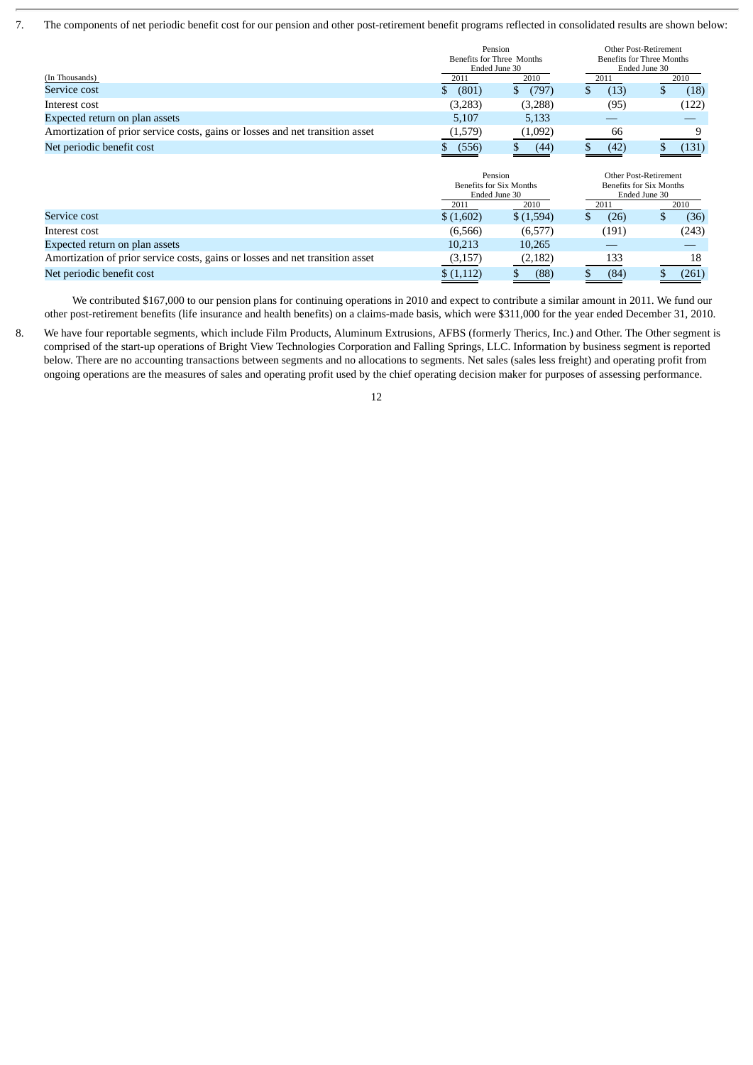| (In Thousands)                                                                | Pension<br>Benefits for Three Months<br>Ended June 30 |                     | Other Post-Retirement<br><b>Benefits for Three Months</b><br>Ended June 30<br>2011 |    |                                                  |               |  |
|-------------------------------------------------------------------------------|-------------------------------------------------------|---------------------|------------------------------------------------------------------------------------|----|--------------------------------------------------|---------------|--|
| Service cost                                                                  | 2011                                                  | 2010<br>\$<br>(797) | \$                                                                                 | \$ | 2010                                             |               |  |
|                                                                               | (801)                                                 |                     | (13)                                                                               |    | (18)                                             |               |  |
| Interest cost                                                                 | (3,283)                                               | (3,288)             | (95)                                                                               |    | (122)                                            |               |  |
| Expected return on plan assets                                                | 5,107                                                 | 5,133               |                                                                                    |    |                                                  |               |  |
| Amortization of prior service costs, gains or losses and net transition asset | (1,579)                                               | (1,092)             | 66                                                                                 |    | 9                                                |               |  |
| Net periodic benefit cost                                                     | (556)                                                 | (44)                | (42)                                                                               |    | (131)                                            |               |  |
|                                                                               | Pension<br>Benefits for Six Months<br>Ended June 30   |                     |                                                                                    |    | Other Post-Retirement<br>Benefits for Six Months | Ended June 30 |  |
|                                                                               | 2011                                                  | 2010                | 2011                                                                               |    | 2010                                             |               |  |
| Service cost                                                                  | \$(1,602)                                             | \$(1,594)           | (26)                                                                               | \$ | (36)                                             |               |  |
| Interest cost                                                                 | (6, 566)                                              | (6,577)             | (191)                                                                              |    | (243)                                            |               |  |
| Expected return on plan assets                                                | 10,213                                                | 10,265              |                                                                                    |    |                                                  |               |  |
| Amortization of prior service costs, gains or losses and net transition asset | (3,157)                                               | (2, 182)            | 133                                                                                |    | 18                                               |               |  |
| Net periodic benefit cost                                                     | \$(1,112)                                             | (88)                | (84)                                                                               |    | (261)                                            |               |  |

We contributed \$167,000 to our pension plans for continuing operations in 2010 and expect to contribute a similar amount in 2011. We fund our other post-retirement benefits (life insurance and health benefits) on a claims-made basis, which were \$311,000 for the year ended December 31, 2010.

8. We have four reportable segments, which include Film Products, Aluminum Extrusions, AFBS (formerly Therics, Inc.) and Other. The Other segment is comprised of the start-up operations of Bright View Technologies Corporation and Falling Springs, LLC. Information by business segment is reported below. There are no accounting transactions between segments and no allocations to segments. Net sales (sales less freight) and operating profit from ongoing operations are the measures of sales and operating profit used by the chief operating decision maker for purposes of assessing performance.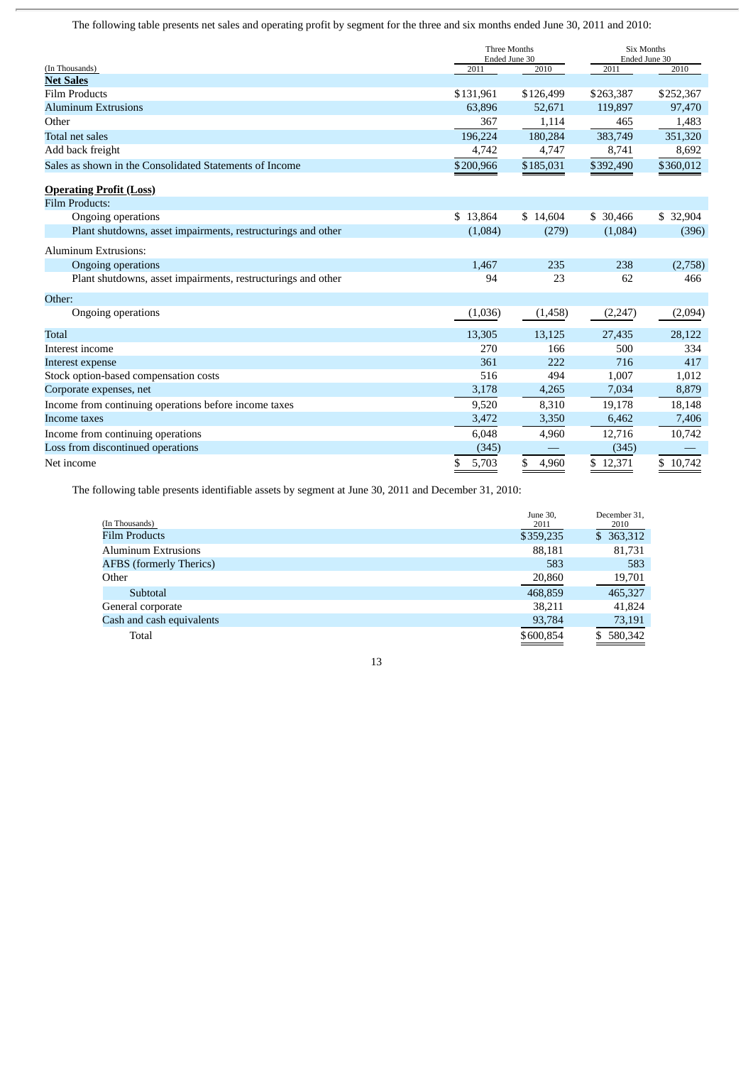The following table presents net sales and operating profit by segment for the three and six months ended June 30, 2011 and 2010:

|                                                              |             | Three Months<br>Ended June 30 |           | <b>Six Months</b><br>Ended June 30 |
|--------------------------------------------------------------|-------------|-------------------------------|-----------|------------------------------------|
| (In Thousands)                                               | 2011        | 2010                          | 2011      | 2010                               |
| <b>Net Sales</b>                                             |             |                               |           |                                    |
| <b>Film Products</b>                                         | \$131,961   | \$126,499                     | \$263,387 | \$252,367                          |
| <b>Aluminum Extrusions</b>                                   | 63,896      | 52,671                        | 119,897   | 97,470                             |
| Other                                                        | 367         | 1,114                         | 465       | 1,483                              |
| <b>Total net sales</b>                                       | 196,224     | 180,284                       | 383,749   | 351,320                            |
| Add back freight                                             | 4,742       | 4,747                         | 8,741     | 8,692                              |
| Sales as shown in the Consolidated Statements of Income      | \$200,966   | \$185,031                     | \$392,490 | \$360,012                          |
| <b>Operating Profit (Loss)</b>                               |             |                               |           |                                    |
| Film Products:                                               |             |                               |           |                                    |
| Ongoing operations                                           | \$13,864    | \$14,604                      | \$ 30,466 | \$32,904                           |
| Plant shutdowns, asset impairments, restructurings and other | (1,084)     | (279)                         | (1,084)   | (396)                              |
| Aluminum Extrusions:                                         |             |                               |           |                                    |
| Ongoing operations                                           | 1,467       | 235                           | 238       | (2,758)                            |
| Plant shutdowns, asset impairments, restructurings and other | 94          | 23                            | 62        | 466                                |
| Other:                                                       |             |                               |           |                                    |
| Ongoing operations                                           | (1,036)     | (1,458)                       | (2, 247)  | (2,094)                            |
| Total                                                        | 13,305      | 13,125                        | 27,435    | 28,122                             |
| Interest income                                              | 270         | 166                           | 500       | 334                                |
| Interest expense                                             | 361         | 222                           | 716       | 417                                |
| Stock option-based compensation costs                        | 516         | 494                           | 1,007     | 1,012                              |
| Corporate expenses, net                                      | 3,178       | 4,265                         | 7,034     | 8,879                              |
| Income from continuing operations before income taxes        | 9,520       | 8,310                         | 19,178    | 18,148                             |
| Income taxes                                                 | 3,472       | 3,350                         | 6,462     | 7,406                              |
| Income from continuing operations                            | 6,048       | 4,960                         | 12,716    | 10,742                             |
| Loss from discontinued operations                            | (345)       |                               | (345)     |                                    |
| Net income                                                   | \$<br>5,703 | \$<br>4,960                   | \$12,371  | \$10,742                           |

The following table presents identifiable assets by segment at June 30, 2011 and December 31, 2010:

| (In Thousands)             | June 30,<br>2011 | December 31,<br>2010 |
|----------------------------|------------------|----------------------|
| Film Products              | \$359,235        | \$ 363,312           |
| <b>Aluminum Extrusions</b> | 88,181           | 81,731               |
| AFBS (formerly Therics)    | 583              | 583                  |
| Other                      | 20,860           | 19,701               |
| Subtotal                   | 468,859          | 465,327              |
| General corporate          | 38,211           | 41,824               |
| Cash and cash equivalents  | 93,784           | 73,191               |
| Total                      | \$600,854        | \$580,342            |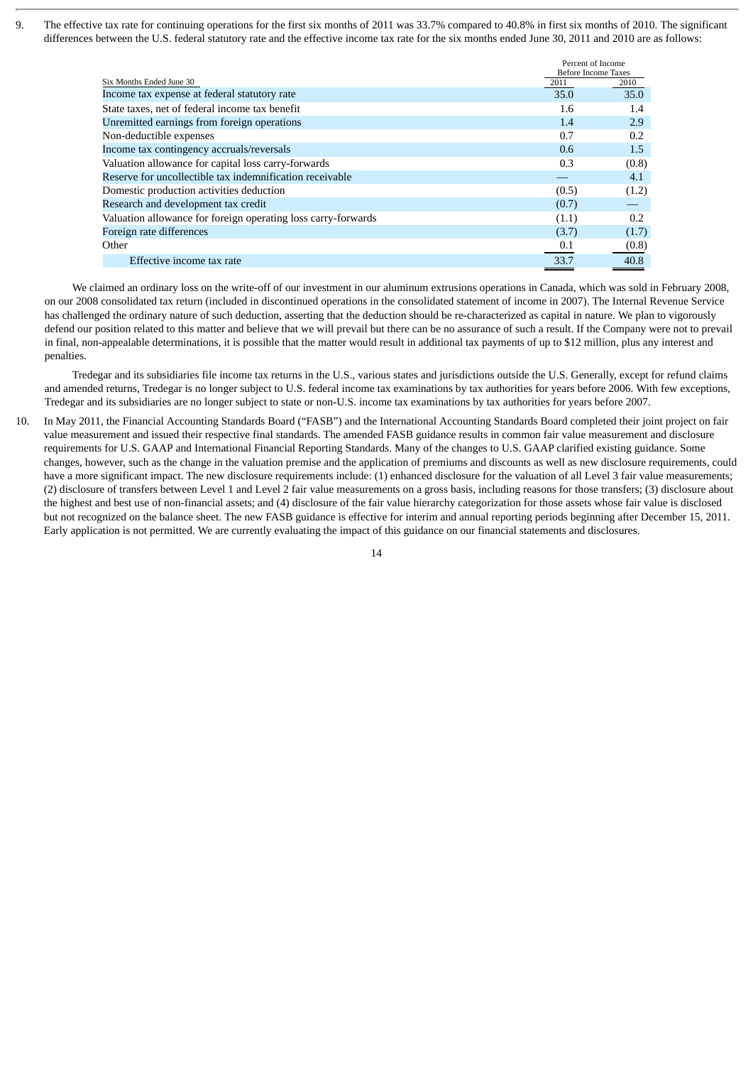9. The effective tax rate for continuing operations for the first six months of 2011 was 33.7% compared to 40.8% in first six months of 2010. The significant differences between the U.S. federal statutory rate and the effective income tax rate for the six months ended June 30, 2011 and 2010 are as follows:

|                                                               |       | Percent of Income<br>Before Income Taxes |
|---------------------------------------------------------------|-------|------------------------------------------|
| Six Months Ended June 30                                      | 2011  | 2010                                     |
| Income tax expense at federal statutory rate                  | 35.0  | 35.0                                     |
| State taxes, net of federal income tax benefit                | 1.6   | 1.4                                      |
| Unremitted earnings from foreign operations                   | 1.4   | 2.9                                      |
| Non-deductible expenses                                       | 0.7   | 0.2                                      |
| Income tax contingency accruals/reversals                     | 0.6   | 1.5                                      |
| Valuation allowance for capital loss carry-forwards           | 0.3   | (0.8)                                    |
| Reserve for uncollectible tax indemnification receivable      |       | 4.1                                      |
| Domestic production activities deduction                      | (0.5) | (1.2)                                    |
| Research and development tax credit                           | (0.7) |                                          |
| Valuation allowance for foreign operating loss carry-forwards | (1.1) | 0.2                                      |
| Foreign rate differences                                      | (3.7) | (1.7)                                    |
| Other                                                         | 0.1   | (0.8)                                    |
| Effective income tax rate                                     | 33.7  | 40.8                                     |
|                                                               |       |                                          |

We claimed an ordinary loss on the write-off of our investment in our aluminum extrusions operations in Canada, which was sold in February 2008, on our 2008 consolidated tax return (included in discontinued operations in the consolidated statement of income in 2007). The Internal Revenue Service has challenged the ordinary nature of such deduction, asserting that the deduction should be re-characterized as capital in nature. We plan to vigorously defend our position related to this matter and believe that we will prevail but there can be no assurance of such a result. If the Company were not to prevail in final, non-appealable determinations, it is possible that the matter would result in additional tax payments of up to \$12 million, plus any interest and penalties.

Tredegar and its subsidiaries file income tax returns in the U.S., various states and jurisdictions outside the U.S. Generally, except for refund claims and amended returns, Tredegar is no longer subject to U.S. federal income tax examinations by tax authorities for years before 2006. With few exceptions, Tredegar and its subsidiaries are no longer subject to state or non-U.S. income tax examinations by tax authorities for years before 2007.

10. In May 2011, the Financial Accounting Standards Board ("FASB") and the International Accounting Standards Board completed their joint project on fair value measurement and issued their respective final standards. The amended FASB guidance results in common fair value measurement and disclosure requirements for U.S. GAAP and International Financial Reporting Standards. Many of the changes to U.S. GAAP clarified existing guidance. Some changes, however, such as the change in the valuation premise and the application of premiums and discounts as well as new disclosure requirements, could have a more significant impact. The new disclosure requirements include: (1) enhanced disclosure for the valuation of all Level 3 fair value measurements; (2) disclosure of transfers between Level 1 and Level 2 fair value measurements on a gross basis, including reasons for those transfers; (3) disclosure about the highest and best use of non-financial assets; and (4) disclosure of the fair value hierarchy categorization for those assets whose fair value is disclosed but not recognized on the balance sheet. The new FASB guidance is effective for interim and annual reporting periods beginning after December 15, 2011. Early application is not permitted. We are currently evaluating the impact of this guidance on our financial statements and disclosures.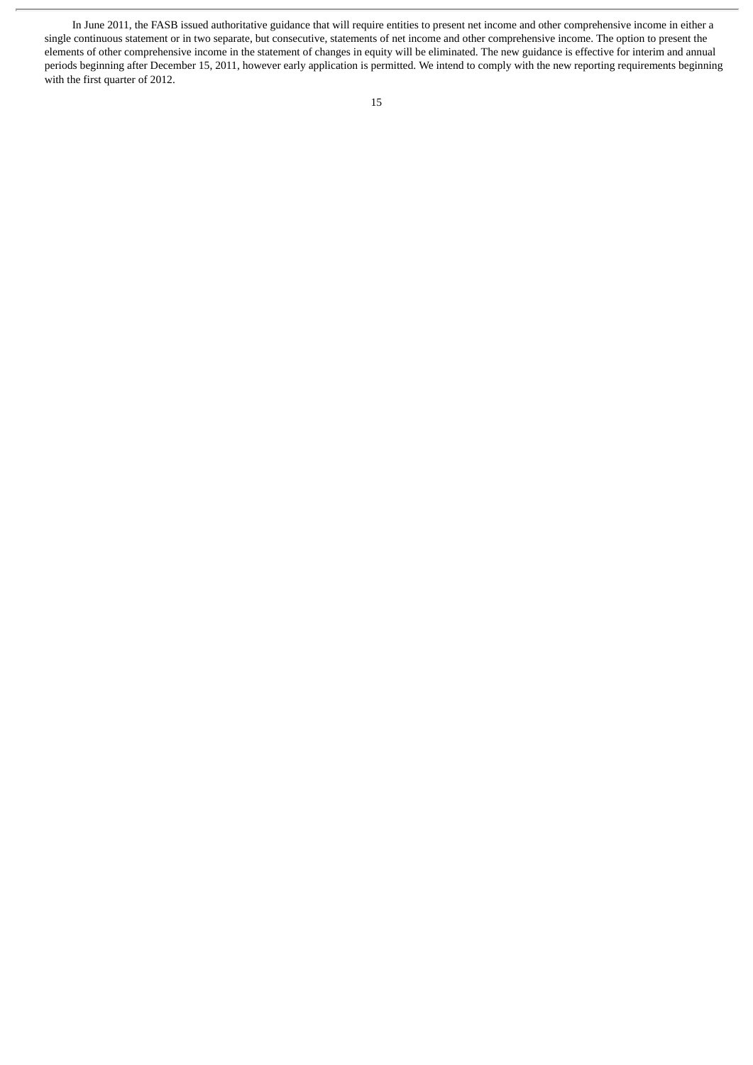In June 2011, the FASB issued authoritative guidance that will require entities to present net income and other comprehensive income in either a single continuous statement or in two separate, but consecutive, statements of net income and other comprehensive income. The option to present the elements of other comprehensive income in the statement of changes in equity will be eliminated. The new guidance is effective for interim and annual periods beginning after December 15, 2011, however early application is permitted. We intend to comply with the new reporting requirements beginning with the first quarter of 2012.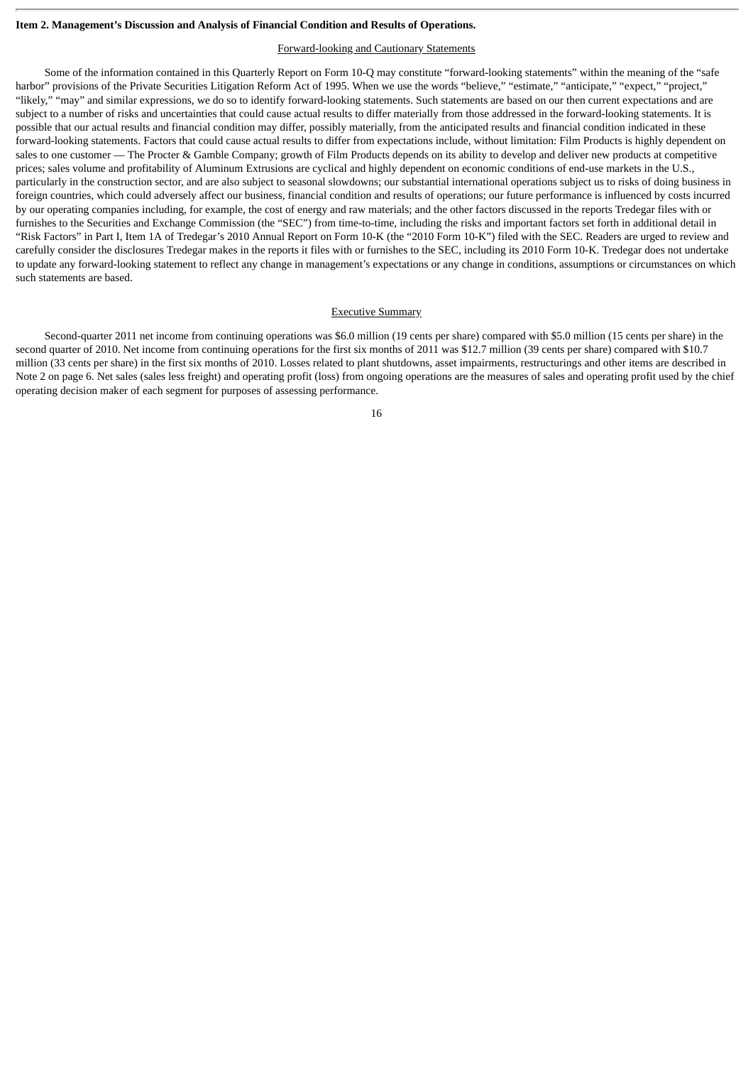#### **Item 2. Management's Discussion and Analysis of Financial Condition and Results of Operations.**

#### Forward-looking and Cautionary Statements

Some of the information contained in this Quarterly Report on Form 10-Q may constitute "forward-looking statements" within the meaning of the "safe harbor" provisions of the Private Securities Litigation Reform Act of 1995. When we use the words "believe," "estimate," "anticipate," "expect," "project," "likely," "may" and similar expressions, we do so to identify forward-looking statements. Such statements are based on our then current expectations and are subject to a number of risks and uncertainties that could cause actual results to differ materially from those addressed in the forward-looking statements. It is possible that our actual results and financial condition may differ, possibly materially, from the anticipated results and financial condition indicated in these forward-looking statements. Factors that could cause actual results to differ from expectations include, without limitation: Film Products is highly dependent on sales to one customer — The Procter & Gamble Company; growth of Film Products depends on its ability to develop and deliver new products at competitive prices; sales volume and profitability of Aluminum Extrusions are cyclical and highly dependent on economic conditions of end-use markets in the U.S., particularly in the construction sector, and are also subject to seasonal slowdowns; our substantial international operations subject us to risks of doing business in foreign countries, which could adversely affect our business, financial condition and results of operations; our future performance is influenced by costs incurred by our operating companies including, for example, the cost of energy and raw materials; and the other factors discussed in the reports Tredegar files with or furnishes to the Securities and Exchange Commission (the "SEC") from time-to-time, including the risks and important factors set forth in additional detail in "Risk Factors" in Part I, Item 1A of Tredegar's 2010 Annual Report on Form 10-K (the "2010 Form 10-K") filed with the SEC. Readers are urged to review and carefully consider the disclosures Tredegar makes in the reports it files with or furnishes to the SEC, including its 2010 Form 10-K. Tredegar does not undertake to update any forward-looking statement to reflect any change in management's expectations or any change in conditions, assumptions or circumstances on which such statements are based.

#### Executive Summary

Second-quarter 2011 net income from continuing operations was \$6.0 million (19 cents per share) compared with \$5.0 million (15 cents per share) in the second quarter of 2010. Net income from continuing operations for the first six months of 2011 was \$12.7 million (39 cents per share) compared with \$10.7 million (33 cents per share) in the first six months of 2010. Losses related to plant shutdowns, asset impairments, restructurings and other items are described in Note 2 on page 6. Net sales (sales less freight) and operating profit (loss) from ongoing operations are the measures of sales and operating profit used by the chief operating decision maker of each segment for purposes of assessing performance.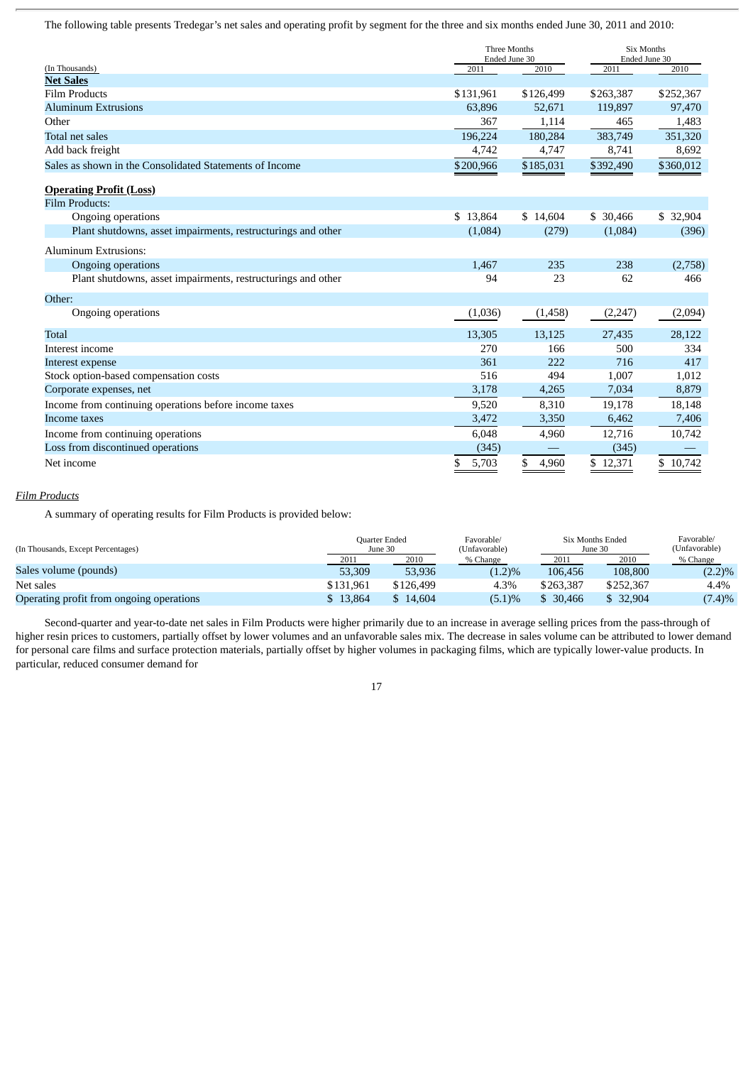The following table presents Tredegar's net sales and operating profit by segment for the three and six months ended June 30, 2011 and 2010:

|                                                              |             | Three Months<br>Ended June 30 |           | Six Months<br>Ended June 30 |
|--------------------------------------------------------------|-------------|-------------------------------|-----------|-----------------------------|
| (In Thousands)                                               | 2011        | 2010                          | 2011      | 2010                        |
| <b>Net Sales</b>                                             |             |                               |           |                             |
| <b>Film Products</b>                                         | \$131,961   | \$126,499                     | \$263,387 | \$252,367                   |
| <b>Aluminum Extrusions</b>                                   | 63,896      | 52,671                        | 119,897   | 97,470                      |
| Other                                                        | 367         | 1,114                         | 465       | 1,483                       |
| <b>Total net sales</b>                                       | 196,224     | 180,284                       | 383,749   | 351,320                     |
| Add back freight                                             | 4,742       | 4,747                         | 8,741     | 8,692                       |
| Sales as shown in the Consolidated Statements of Income      | \$200,966   | \$185,031                     | \$392,490 | \$360,012                   |
| <b>Operating Profit (Loss)</b>                               |             |                               |           |                             |
| <b>Film Products:</b>                                        |             |                               |           |                             |
| Ongoing operations                                           | \$13,864    | \$14,604                      | \$ 30,466 | \$ 32,904                   |
| Plant shutdowns, asset impairments, restructurings and other | (1,084)     | (279)                         | (1,084)   | (396)                       |
| <b>Aluminum Extrusions:</b>                                  |             |                               |           |                             |
| Ongoing operations                                           | 1,467       | 235                           | 238       | (2,758)                     |
| Plant shutdowns, asset impairments, restructurings and other | 94          | 23                            | 62        | 466                         |
| Other:                                                       |             |                               |           |                             |
| Ongoing operations                                           | (1,036)     | (1,458)                       | (2,247)   | (2,094)                     |
| Total                                                        | 13,305      | 13,125                        | 27,435    | 28,122                      |
| Interest income                                              | 270         | 166                           | 500       | 334                         |
| Interest expense                                             | 361         | 222                           | 716       | 417                         |
| Stock option-based compensation costs                        | 516         | 494                           | 1,007     | 1,012                       |
| Corporate expenses, net                                      | 3,178       | 4,265                         | 7,034     | 8,879                       |
| Income from continuing operations before income taxes        | 9,520       | 8,310                         | 19,178    | 18,148                      |
| Income taxes                                                 | 3,472       | 3,350                         | 6,462     | 7,406                       |
| Income from continuing operations                            | 6,048       | 4,960                         | 12,716    | 10,742                      |
| Loss from discontinued operations                            | (345)       |                               | (345)     |                             |
| Net income                                                   | \$<br>5,703 | \$<br>4,960                   | \$12,371  | \$10,742                    |

# *Film Products*

A summary of operating results for Film Products is provided below:

| (In Thousands, Except Percentages)       |           | <b>Ouarter Ended</b><br>June 30 | Favorable/<br>(Unfavorable) |           | Six Months Ended<br>June 30 | Favorable/<br>(Unfavorable) |
|------------------------------------------|-----------|---------------------------------|-----------------------------|-----------|-----------------------------|-----------------------------|
|                                          | 2011      | 2010                            | % Change                    | 2011      | 2010                        | % Change                    |
| Sales volume (pounds)                    | 53,309    | 53,936                          | $(1.2)\%$                   | 106.456   | 108,800                     | $(2.2)\%$                   |
| Net sales                                | \$131.961 | \$126,499                       | 4.3%                        | \$263,387 | \$252.367                   | 4.4%                        |
| Operating profit from ongoing operations | \$13.864  | 14,604                          | (5.1)%                      | \$ 30,466 | 32,904                      | $(7.4)\%$                   |

Second-quarter and year-to-date net sales in Film Products were higher primarily due to an increase in average selling prices from the pass-through of higher resin prices to customers, partially offset by lower volumes and an unfavorable sales mix. The decrease in sales volume can be attributed to lower demand for personal care films and surface protection materials, partially offset by higher volumes in packaging films, which are typically lower-value products. In particular, reduced consumer demand for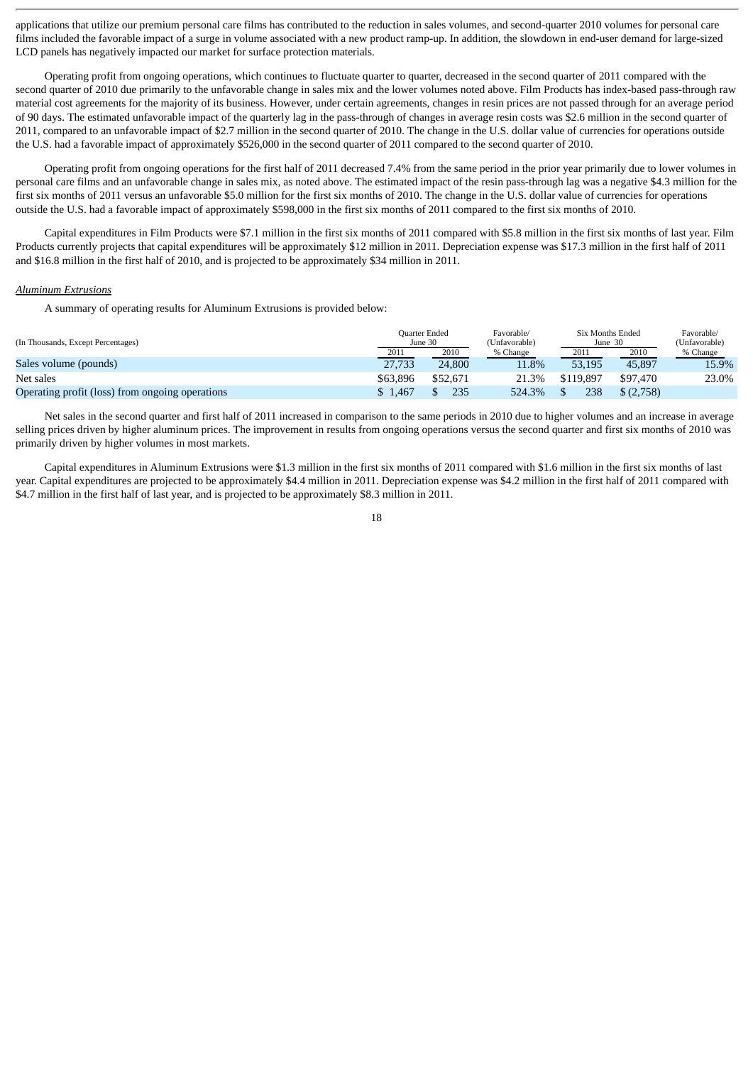applications that utilize our premium personal care films has contributed to the reduction in sales volumes, and second-quarter 2010 volumes for personal care films included the favorable impact of a surge in volume associated with a new product ramp-up. In addition, the slowdown in end-user demand for large-sized LCD panels has negatively impacted our market for surface protection materials.

Operating profit from ongoing operations, which continues to fluctuate quarter to quarter, decreased in the second quarter of 2011 compared with the second quarter of 2010 due primarily to the unfavorable change in sales mix and the lower volumes noted above. Film Products has index-based pass-through raw material cost agreements for the majority of its business. However, under certain agreements, changes in resin prices are not passed through for an average period of 90 days. The estimated unfavorable impact of the quarterly lag in the pass-through of changes in average resin costs was \$2.6 million in the second quarter of 2011, compared to an unfavorable impact of \$2.7 million in the second quarter of 2010. The change in the U.S. dollar value of currencies for operations outside the U.S. had a favorable impact of approximately \$526,000 in the second quarter of 2011 compared to the second quarter of 2010.

Operating profit from ongoing operations for the first half of 2011 decreased 7.4% from the same period in the prior year primarily due to lower volumes in personal care films and an unfavorable change in sales mix, as noted above. The estimated impact of the resin pass-through lag was a negative \$4.3 million for the first six months of 2011 versus an unfavorable \$5.0 million for the first six months of 2010. The change in the U.S. dollar value of currencies for operations outside the U.S. had a favorable impact of approximately \$598,000 in the first six months of 2011 compared to the first six months of 2010.

Capital expenditures in Film Products were \$7.1 million in the first six months of 2011 compared with \$5.8 million in the first six months of last year. Film Products currently projects that capital expenditures will be approximately \$12 million in 2011. Depreciation expense was \$17.3 million in the first half of 2011 and \$16.8 million in the first half of 2010, and is projected to be approximately \$34 million in 2011.

#### *Aluminum Extrusions*

A summary of operating results for Aluminum Extrusions is provided below:

| (In Thousands, Except Percentages)              | Quarter Ended<br>June 30 |          | Favorable/<br>(Unfavorable) | Six Months Ended<br>June 30 |           | Favorable/<br>(Unfavorable) |
|-------------------------------------------------|--------------------------|----------|-----------------------------|-----------------------------|-----------|-----------------------------|
|                                                 | 2011                     | 2010     | % Change                    | 2011                        | 2010      | % Change                    |
| Sales volume (pounds)                           | 27.733                   | 24,800   | 11.8%                       | 53.195                      | 45.897    | 15.9%                       |
| Net sales                                       | \$63,896                 | \$52,671 | 21.3%                       | \$119.897                   | \$97,470  | 23.0%                       |
| Operating profit (loss) from ongoing operations | \$1,467                  | 235      | 524.3%                      | 238                         | \$(2,758) |                             |

Net sales in the second quarter and first half of 2011 increased in comparison to the same periods in 2010 due to higher volumes and an increase in average selling prices driven by higher aluminum prices. The improvement in results from ongoing operations versus the second quarter and first six months of 2010 was primarily driven by higher volumes in most markets.

Capital expenditures in Aluminum Extrusions were \$1.3 million in the first six months of 2011 compared with \$1.6 million in the first six months of last year. Capital expenditures are projected to be approximately \$4.4 million in 2011. Depreciation expense was \$4.2 million in the first half of 2011 compared with \$4.7 million in the first half of last year, and is projected to be approximately \$8.3 million in 2011.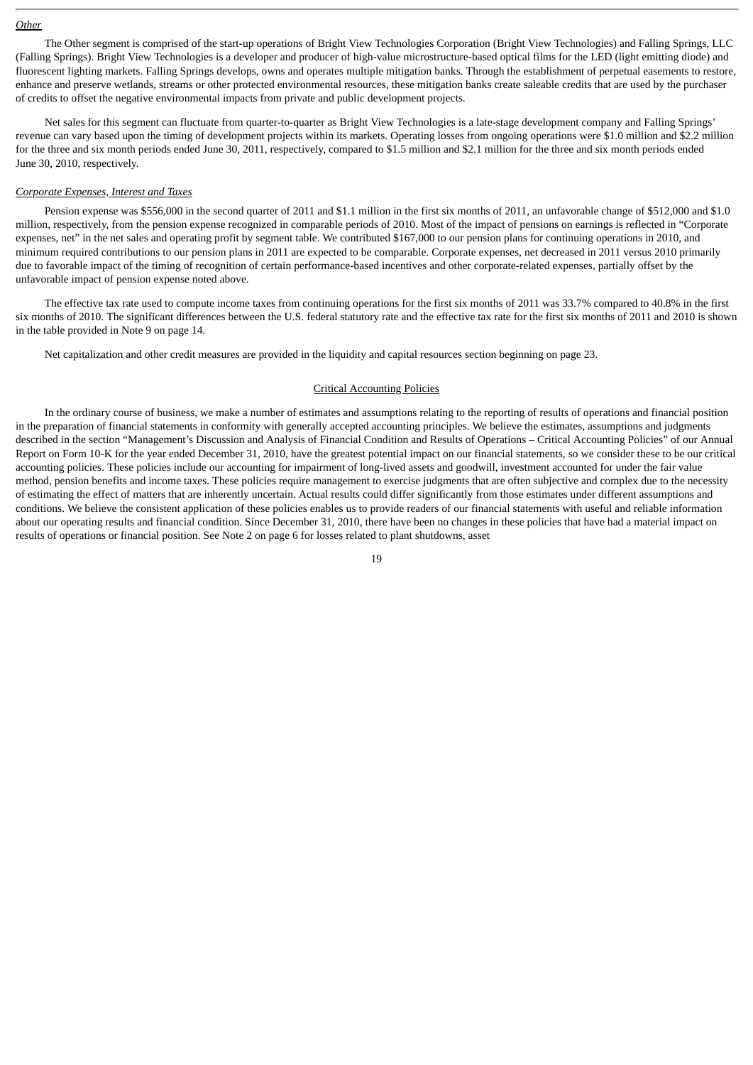#### *Other*

The Other segment is comprised of the start-up operations of Bright View Technologies Corporation (Bright View Technologies) and Falling Springs, LLC (Falling Springs). Bright View Technologies is a developer and producer of high-value microstructure-based optical films for the LED (light emitting diode) and fluorescent lighting markets. Falling Springs develops, owns and operates multiple mitigation banks. Through the establishment of perpetual easements to restore, enhance and preserve wetlands, streams or other protected environmental resources, these mitigation banks create saleable credits that are used by the purchaser of credits to offset the negative environmental impacts from private and public development projects.

Net sales for this segment can fluctuate from quarter-to-quarter as Bright View Technologies is a late-stage development company and Falling Springs' revenue can vary based upon the timing of development projects within its markets. Operating losses from ongoing operations were \$1.0 million and \$2.2 million for the three and six month periods ended June 30, 2011, respectively, compared to \$1.5 million and \$2.1 million for the three and six month periods ended June 30, 2010, respectively.

#### *Corporate Expenses, Interest and Taxes*

Pension expense was \$556,000 in the second quarter of 2011 and \$1.1 million in the first six months of 2011, an unfavorable change of \$512,000 and \$1.0 million, respectively, from the pension expense recognized in comparable periods of 2010. Most of the impact of pensions on earnings is reflected in "Corporate expenses, net" in the net sales and operating profit by segment table. We contributed \$167,000 to our pension plans for continuing operations in 2010, and minimum required contributions to our pension plans in 2011 are expected to be comparable. Corporate expenses, net decreased in 2011 versus 2010 primarily due to favorable impact of the timing of recognition of certain performance-based incentives and other corporate-related expenses, partially offset by the unfavorable impact of pension expense noted above.

The effective tax rate used to compute income taxes from continuing operations for the first six months of 2011 was 33.7% compared to 40.8% in the first six months of 2010. The significant differences between the U.S. federal statutory rate and the effective tax rate for the first six months of 2011 and 2010 is shown in the table provided in Note 9 on page 14.

Net capitalization and other credit measures are provided in the liquidity and capital resources section beginning on page 23.

#### Critical Accounting Policies

In the ordinary course of business, we make a number of estimates and assumptions relating to the reporting of results of operations and financial position in the preparation of financial statements in conformity with generally accepted accounting principles. We believe the estimates, assumptions and judgments described in the section "Management's Discussion and Analysis of Financial Condition and Results of Operations – Critical Accounting Policies" of our Annual Report on Form 10-K for the year ended December 31, 2010, have the greatest potential impact on our financial statements, so we consider these to be our critical accounting policies. These policies include our accounting for impairment of long-lived assets and goodwill, investment accounted for under the fair value method, pension benefits and income taxes. These policies require management to exercise judgments that are often subjective and complex due to the necessity of estimating the effect of matters that are inherently uncertain. Actual results could differ significantly from those estimates under different assumptions and conditions. We believe the consistent application of these policies enables us to provide readers of our financial statements with useful and reliable information about our operating results and financial condition. Since December 31, 2010, there have been no changes in these policies that have had a material impact on results of operations or financial position. See Note 2 on page 6 for losses related to plant shutdowns, asset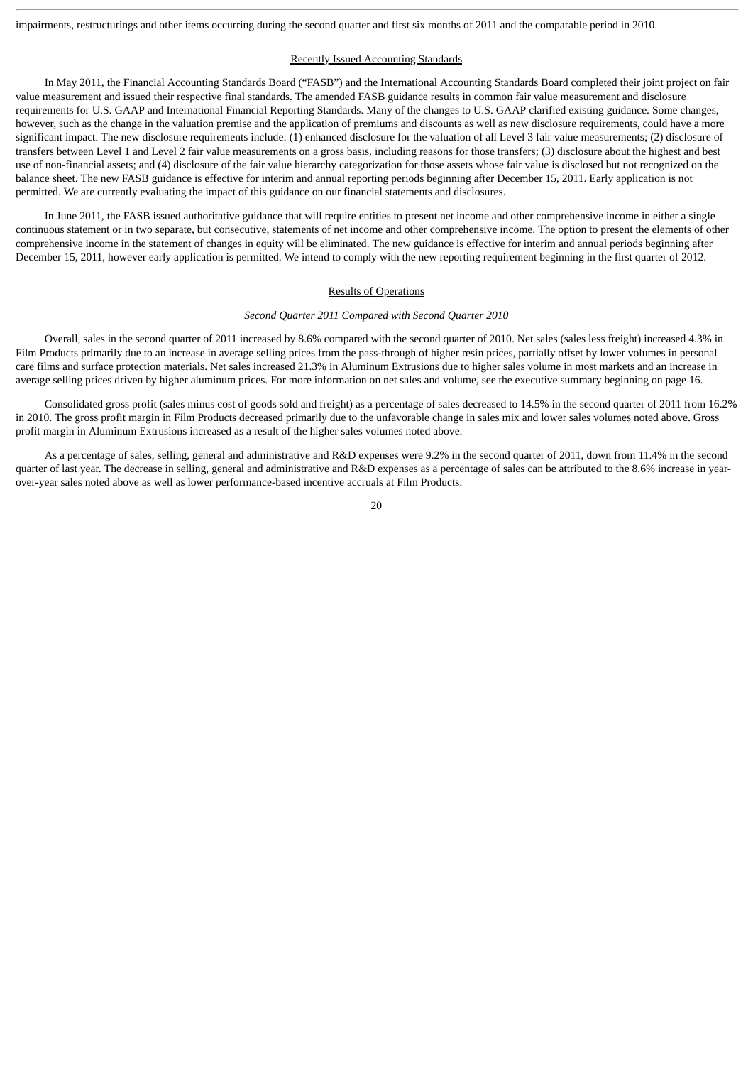impairments, restructurings and other items occurring during the second quarter and first six months of 2011 and the comparable period in 2010.

#### Recently Issued Accounting Standards

In May 2011, the Financial Accounting Standards Board ("FASB") and the International Accounting Standards Board completed their joint project on fair value measurement and issued their respective final standards. The amended FASB guidance results in common fair value measurement and disclosure requirements for U.S. GAAP and International Financial Reporting Standards. Many of the changes to U.S. GAAP clarified existing guidance. Some changes, however, such as the change in the valuation premise and the application of premiums and discounts as well as new disclosure requirements, could have a more significant impact. The new disclosure requirements include: (1) enhanced disclosure for the valuation of all Level 3 fair value measurements; (2) disclosure of transfers between Level 1 and Level 2 fair value measurements on a gross basis, including reasons for those transfers; (3) disclosure about the highest and best use of non-financial assets; and (4) disclosure of the fair value hierarchy categorization for those assets whose fair value is disclosed but not recognized on the balance sheet. The new FASB guidance is effective for interim and annual reporting periods beginning after December 15, 2011. Early application is not permitted. We are currently evaluating the impact of this guidance on our financial statements and disclosures.

In June 2011, the FASB issued authoritative guidance that will require entities to present net income and other comprehensive income in either a single continuous statement or in two separate, but consecutive, statements of net income and other comprehensive income. The option to present the elements of other comprehensive income in the statement of changes in equity will be eliminated. The new guidance is effective for interim and annual periods beginning after December 15, 2011, however early application is permitted. We intend to comply with the new reporting requirement beginning in the first quarter of 2012.

#### Results of Operations

#### *Second Quarter 2011 Compared with Second Quarter 2010*

Overall, sales in the second quarter of 2011 increased by 8.6% compared with the second quarter of 2010. Net sales (sales less freight) increased 4.3% in Film Products primarily due to an increase in average selling prices from the pass-through of higher resin prices, partially offset by lower volumes in personal care films and surface protection materials. Net sales increased 21.3% in Aluminum Extrusions due to higher sales volume in most markets and an increase in average selling prices driven by higher aluminum prices. For more information on net sales and volume, see the executive summary beginning on page 16.

Consolidated gross profit (sales minus cost of goods sold and freight) as a percentage of sales decreased to 14.5% in the second quarter of 2011 from 16.2% in 2010. The gross profit margin in Film Products decreased primarily due to the unfavorable change in sales mix and lower sales volumes noted above. Gross profit margin in Aluminum Extrusions increased as a result of the higher sales volumes noted above.

As a percentage of sales, selling, general and administrative and R&D expenses were 9.2% in the second quarter of 2011, down from 11.4% in the second quarter of last year. The decrease in selling, general and administrative and R&D expenses as a percentage of sales can be attributed to the 8.6% increase in yearover-year sales noted above as well as lower performance-based incentive accruals at Film Products.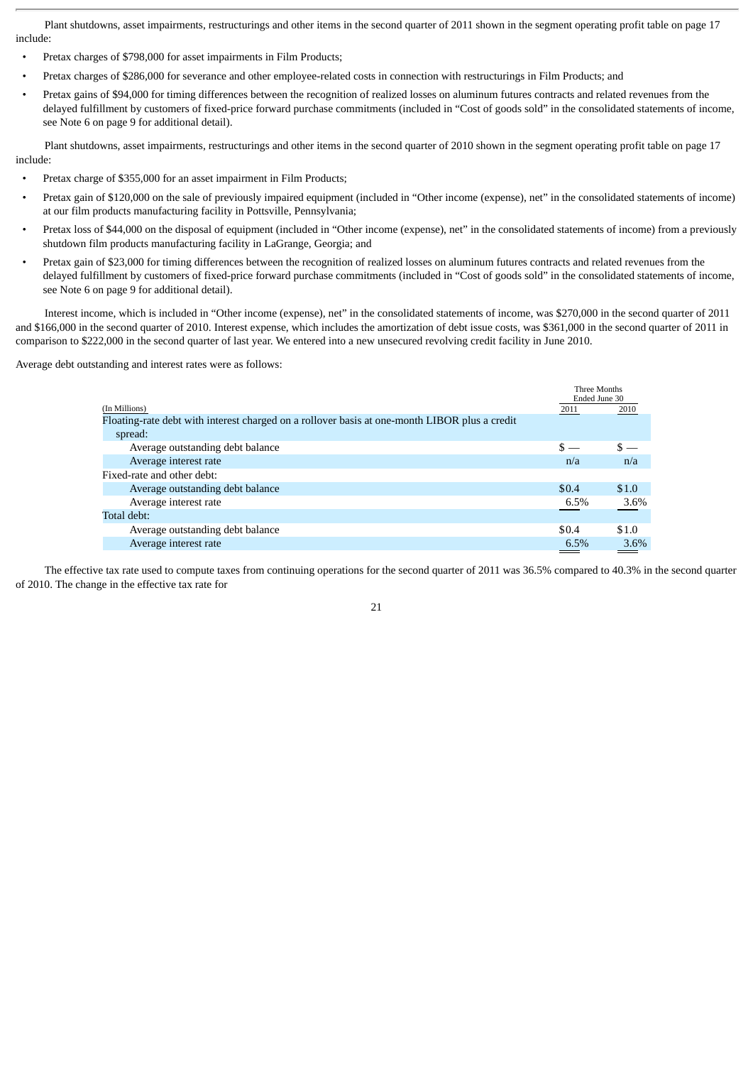Plant shutdowns, asset impairments, restructurings and other items in the second quarter of 2011 shown in the segment operating profit table on page 17 include:

- Pretax charges of \$798,000 for asset impairments in Film Products;
- Pretax charges of \$286,000 for severance and other employee-related costs in connection with restructurings in Film Products; and
- Pretax gains of \$94,000 for timing differences between the recognition of realized losses on aluminum futures contracts and related revenues from the delayed fulfillment by customers of fixed-price forward purchase commitments (included in "Cost of goods sold" in the consolidated statements of income, see Note 6 on page 9 for additional detail).

Plant shutdowns, asset impairments, restructurings and other items in the second quarter of 2010 shown in the segment operating profit table on page 17 include:

- Pretax charge of \$355,000 for an asset impairment in Film Products;
- Pretax gain of \$120,000 on the sale of previously impaired equipment (included in "Other income (expense), net" in the consolidated statements of income) at our film products manufacturing facility in Pottsville, Pennsylvania;
- Pretax loss of \$44,000 on the disposal of equipment (included in "Other income (expense), net" in the consolidated statements of income) from a previously shutdown film products manufacturing facility in LaGrange, Georgia; and
- Pretax gain of \$23,000 for timing differences between the recognition of realized losses on aluminum futures contracts and related revenues from the delayed fulfillment by customers of fixed-price forward purchase commitments (included in "Cost of goods sold" in the consolidated statements of income, see Note 6 on page 9 for additional detail).

Interest income, which is included in "Other income (expense), net" in the consolidated statements of income, was \$270,000 in the second quarter of 2011 and \$166,000 in the second quarter of 2010. Interest expense, which includes the amortization of debt issue costs, was \$361,000 in the second quarter of 2011 in comparison to \$222,000 in the second quarter of last year. We entered into a new unsecured revolving credit facility in June 2010.

Average debt outstanding and interest rates were as follows:

|                                                                                               | Three Months<br>Ended June 30 |       |
|-----------------------------------------------------------------------------------------------|-------------------------------|-------|
| (In Millions)                                                                                 | 2011                          | 2010  |
| Floating-rate debt with interest charged on a rollover basis at one-month LIBOR plus a credit |                               |       |
| spread:                                                                                       |                               |       |
| Average outstanding debt balance                                                              |                               |       |
| Average interest rate                                                                         | n/a                           | n/a   |
| Fixed-rate and other debt:                                                                    |                               |       |
| Average outstanding debt balance                                                              | \$0.4                         | \$1.0 |
| Average interest rate                                                                         | 6.5%                          | 3.6%  |
| Total debt:                                                                                   |                               |       |
| Average outstanding debt balance                                                              | \$0.4                         | \$1.0 |
| Average interest rate                                                                         | 6.5%                          | 3.6%  |

The effective tax rate used to compute taxes from continuing operations for the second quarter of 2011 was 36.5% compared to 40.3% in the second quarter of 2010. The change in the effective tax rate for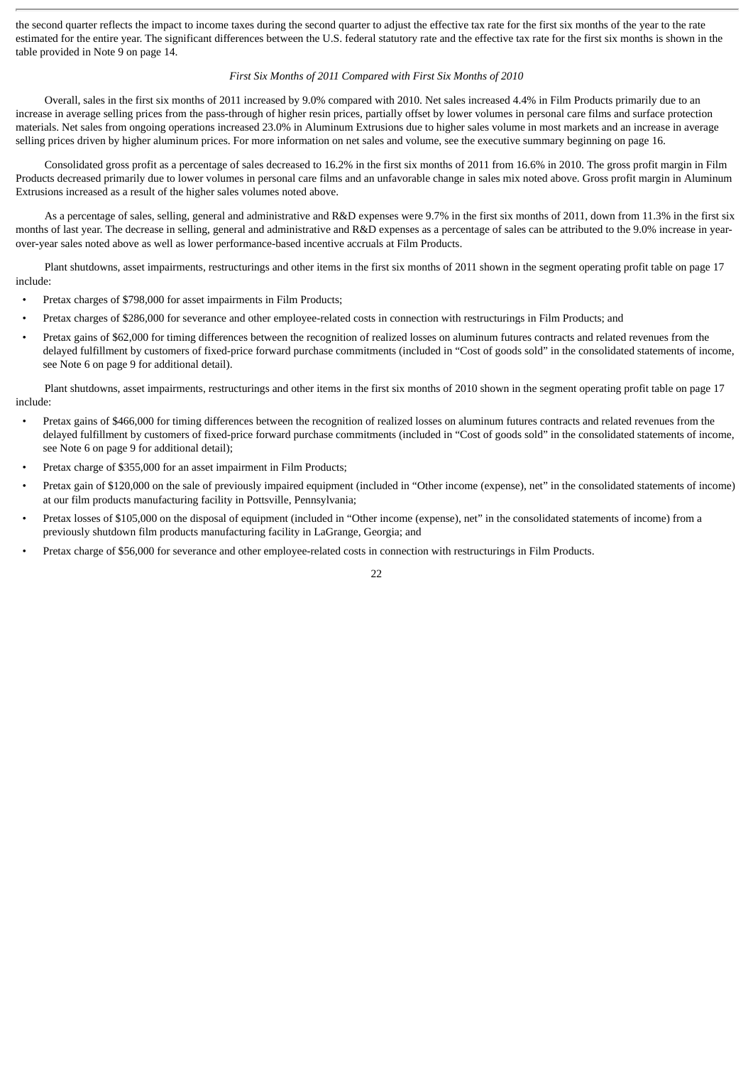the second quarter reflects the impact to income taxes during the second quarter to adjust the effective tax rate for the first six months of the year to the rate estimated for the entire year. The significant differences between the U.S. federal statutory rate and the effective tax rate for the first six months is shown in the table provided in Note 9 on page 14.

#### *First Six Months of 2011 Compared with First Six Months of 2010*

Overall, sales in the first six months of 2011 increased by 9.0% compared with 2010. Net sales increased 4.4% in Film Products primarily due to an increase in average selling prices from the pass-through of higher resin prices, partially offset by lower volumes in personal care films and surface protection materials. Net sales from ongoing operations increased 23.0% in Aluminum Extrusions due to higher sales volume in most markets and an increase in average selling prices driven by higher aluminum prices. For more information on net sales and volume, see the executive summary beginning on page 16.

Consolidated gross profit as a percentage of sales decreased to 16.2% in the first six months of 2011 from 16.6% in 2010. The gross profit margin in Film Products decreased primarily due to lower volumes in personal care films and an unfavorable change in sales mix noted above. Gross profit margin in Aluminum Extrusions increased as a result of the higher sales volumes noted above.

As a percentage of sales, selling, general and administrative and R&D expenses were 9.7% in the first six months of 2011, down from 11.3% in the first six months of last year. The decrease in selling, general and administrative and R&D expenses as a percentage of sales can be attributed to the 9.0% increase in yearover-year sales noted above as well as lower performance-based incentive accruals at Film Products.

Plant shutdowns, asset impairments, restructurings and other items in the first six months of 2011 shown in the segment operating profit table on page 17 include:

- Pretax charges of \$798,000 for asset impairments in Film Products;
- Pretax charges of \$286,000 for severance and other employee-related costs in connection with restructurings in Film Products; and
- Pretax gains of \$62,000 for timing differences between the recognition of realized losses on aluminum futures contracts and related revenues from the delayed fulfillment by customers of fixed-price forward purchase commitments (included in "Cost of goods sold" in the consolidated statements of income, see Note 6 on page 9 for additional detail).

Plant shutdowns, asset impairments, restructurings and other items in the first six months of 2010 shown in the segment operating profit table on page 17 include:

- Pretax gains of \$466,000 for timing differences between the recognition of realized losses on aluminum futures contracts and related revenues from the delayed fulfillment by customers of fixed-price forward purchase commitments (included in "Cost of goods sold" in the consolidated statements of income, see Note 6 on page 9 for additional detail);
- Pretax charge of \$355,000 for an asset impairment in Film Products;
- Pretax gain of \$120,000 on the sale of previously impaired equipment (included in "Other income (expense), net" in the consolidated statements of income) at our film products manufacturing facility in Pottsville, Pennsylvania;
- Pretax losses of \$105,000 on the disposal of equipment (included in "Other income (expense), net" in the consolidated statements of income) from a previously shutdown film products manufacturing facility in LaGrange, Georgia; and
- Pretax charge of \$56,000 for severance and other employee-related costs in connection with restructurings in Film Products.

 $\overline{2}$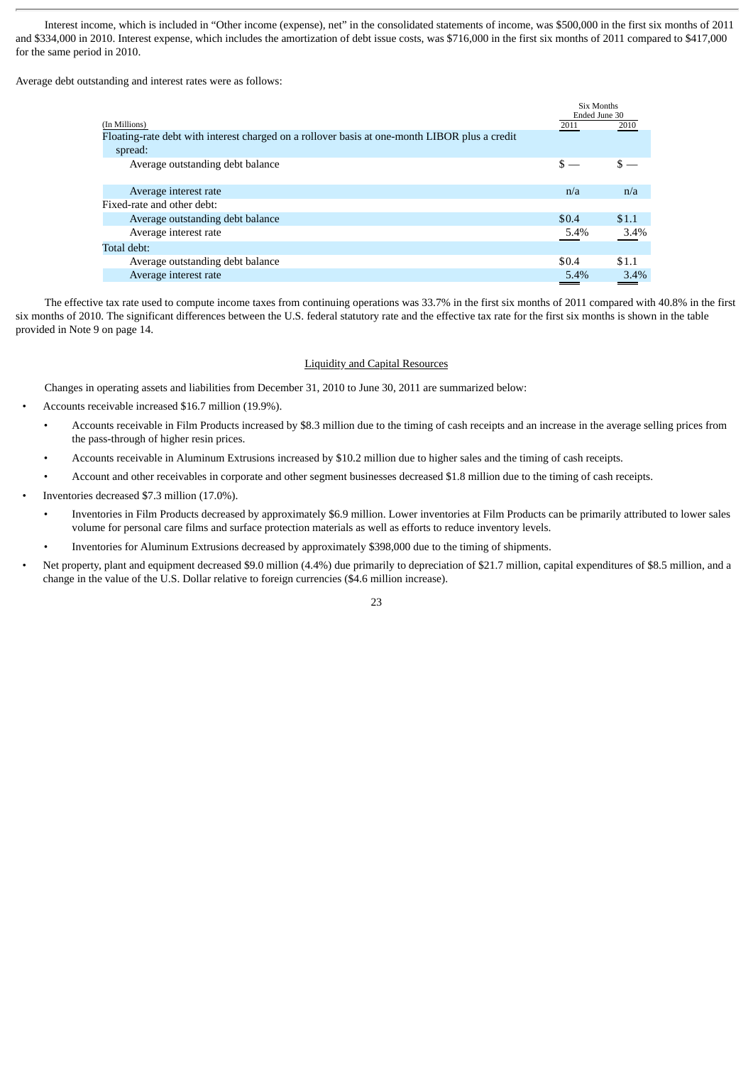Interest income, which is included in "Other income (expense), net" in the consolidated statements of income, was \$500,000 in the first six months of 2011 and \$334,000 in 2010. Interest expense, which includes the amortization of debt issue costs, was \$716,000 in the first six months of 2011 compared to \$417,000 for the same period in 2010.

Average debt outstanding and interest rates were as follows:

|                                                                                               | <b>Six Months</b><br>Ended June 30 |       |
|-----------------------------------------------------------------------------------------------|------------------------------------|-------|
| (In Millions)                                                                                 | 2011                               | 2010  |
| Floating-rate debt with interest charged on a rollover basis at one-month LIBOR plus a credit |                                    |       |
| spread:                                                                                       |                                    |       |
| Average outstanding debt balance                                                              |                                    |       |
|                                                                                               |                                    |       |
| Average interest rate                                                                         | n/a                                | n/a   |
| Fixed-rate and other debt:                                                                    |                                    |       |
| Average outstanding debt balance                                                              | \$0.4                              | \$1.1 |
| Average interest rate                                                                         | 5.4%                               | 3.4%  |
| Total debt:                                                                                   |                                    |       |
| Average outstanding debt balance                                                              | \$0.4                              | \$1.1 |
| Average interest rate                                                                         | $5.4\%$                            | 3.4%  |

The effective tax rate used to compute income taxes from continuing operations was 33.7% in the first six months of 2011 compared with 40.8% in the first six months of 2010. The significant differences between the U.S. federal statutory rate and the effective tax rate for the first six months is shown in the table provided in Note 9 on page 14.

#### Liquidity and Capital Resources

Changes in operating assets and liabilities from December 31, 2010 to June 30, 2011 are summarized below:

- Accounts receivable increased \$16.7 million (19.9%).
	- Accounts receivable in Film Products increased by \$8.3 million due to the timing of cash receipts and an increase in the average selling prices from the pass-through of higher resin prices.
	- Accounts receivable in Aluminum Extrusions increased by \$10.2 million due to higher sales and the timing of cash receipts.
	- Account and other receivables in corporate and other segment businesses decreased \$1.8 million due to the timing of cash receipts.
- Inventories decreased \$7.3 million (17.0%).
	- Inventories in Film Products decreased by approximately \$6.9 million. Lower inventories at Film Products can be primarily attributed to lower sales volume for personal care films and surface protection materials as well as efforts to reduce inventory levels.
	- Inventories for Aluminum Extrusions decreased by approximately \$398,000 due to the timing of shipments.
- Net property, plant and equipment decreased \$9.0 million (4.4%) due primarily to depreciation of \$21.7 million, capital expenditures of \$8.5 million, and a change in the value of the U.S. Dollar relative to foreign currencies (\$4.6 million increase).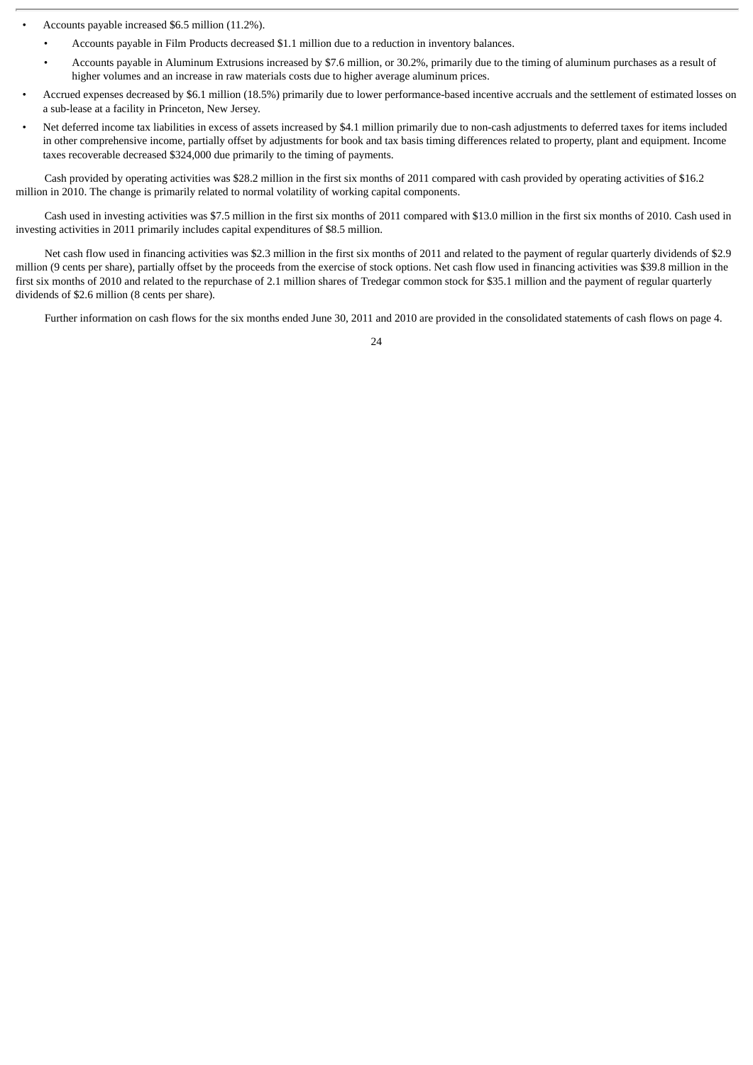- Accounts payable increased \$6.5 million (11.2%).
	- Accounts payable in Film Products decreased \$1.1 million due to a reduction in inventory balances.
	- Accounts payable in Aluminum Extrusions increased by \$7.6 million, or 30.2%, primarily due to the timing of aluminum purchases as a result of higher volumes and an increase in raw materials costs due to higher average aluminum prices.
- Accrued expenses decreased by \$6.1 million (18.5%) primarily due to lower performance-based incentive accruals and the settlement of estimated losses on a sub-lease at a facility in Princeton, New Jersey.
- Net deferred income tax liabilities in excess of assets increased by \$4.1 million primarily due to non-cash adjustments to deferred taxes for items included in other comprehensive income, partially offset by adjustments for book and tax basis timing differences related to property, plant and equipment. Income taxes recoverable decreased \$324,000 due primarily to the timing of payments.

Cash provided by operating activities was \$28.2 million in the first six months of 2011 compared with cash provided by operating activities of \$16.2 million in 2010. The change is primarily related to normal volatility of working capital components.

Cash used in investing activities was \$7.5 million in the first six months of 2011 compared with \$13.0 million in the first six months of 2010. Cash used in investing activities in 2011 primarily includes capital expenditures of \$8.5 million.

Net cash flow used in financing activities was \$2.3 million in the first six months of 2011 and related to the payment of regular quarterly dividends of \$2.9 million (9 cents per share), partially offset by the proceeds from the exercise of stock options. Net cash flow used in financing activities was \$39.8 million in the first six months of 2010 and related to the repurchase of 2.1 million shares of Tredegar common stock for \$35.1 million and the payment of regular quarterly dividends of \$2.6 million (8 cents per share).

Further information on cash flows for the six months ended June 30, 2011 and 2010 are provided in the consolidated statements of cash flows on page 4.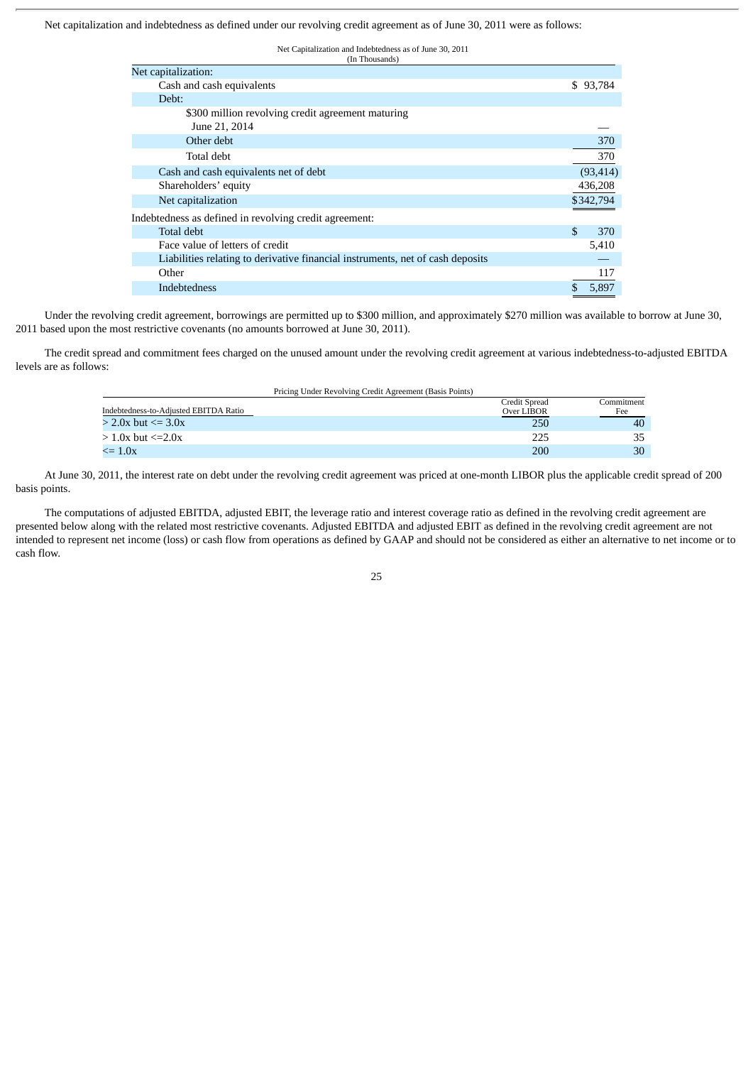Net capitalization and indebtedness as defined under our revolving credit agreement as of June 30, 2011 were as follows:

Net Capitalization and Indebtedness as of June 30, 2011

| (In Thousands)<br>Net capitalization:                                          |           |
|--------------------------------------------------------------------------------|-----------|
| Cash and cash equivalents                                                      | \$93,784  |
| Debt:                                                                          |           |
| \$300 million revolving credit agreement maturing<br>June 21, 2014             |           |
| Other debt                                                                     | 370       |
| Total debt                                                                     | 370       |
| Cash and cash equivalents net of debt                                          | (93, 414) |
| Shareholders' equity                                                           | 436,208   |
| Net capitalization                                                             | \$342,794 |
| Indebtedness as defined in revolving credit agreement:                         |           |
| Total debt                                                                     | \$<br>370 |
| Face value of letters of credit                                                | 5,410     |
| Liabilities relating to derivative financial instruments, net of cash deposits |           |
| Other                                                                          | 117       |
| <b>Indebtedness</b>                                                            | 5.897     |

Under the revolving credit agreement, borrowings are permitted up to \$300 million, and approximately \$270 million was available to borrow at June 30, 2011 based upon the most restrictive covenants (no amounts borrowed at June 30, 2011).

The credit spread and commitment fees charged on the unused amount under the revolving credit agreement at various indebtedness-to-adjusted EBITDA levels are as follows:

Pricing Under Revolving Credit Agreement (Basis Points)

 $\overline{\phantom{a}}$ 

| Pricing Under Revolving Credit Agreement (Basis Ponns) |                   |
|--------------------------------------------------------|-------------------|
| Credit Spread<br>Over LIBOR                            | Commitment<br>Fee |
| 250                                                    | 40                |
| 225                                                    | 35                |
| 200                                                    | 30                |
|                                                        |                   |

At June 30, 2011, the interest rate on debt under the revolving credit agreement was priced at one-month LIBOR plus the applicable credit spread of 200 basis points.

The computations of adjusted EBITDA, adjusted EBIT, the leverage ratio and interest coverage ratio as defined in the revolving credit agreement are presented below along with the related most restrictive covenants. Adjusted EBITDA and adjusted EBIT as defined in the revolving credit agreement are not intended to represent net income (loss) or cash flow from operations as defined by GAAP and should not be considered as either an alternative to net income or to cash flow.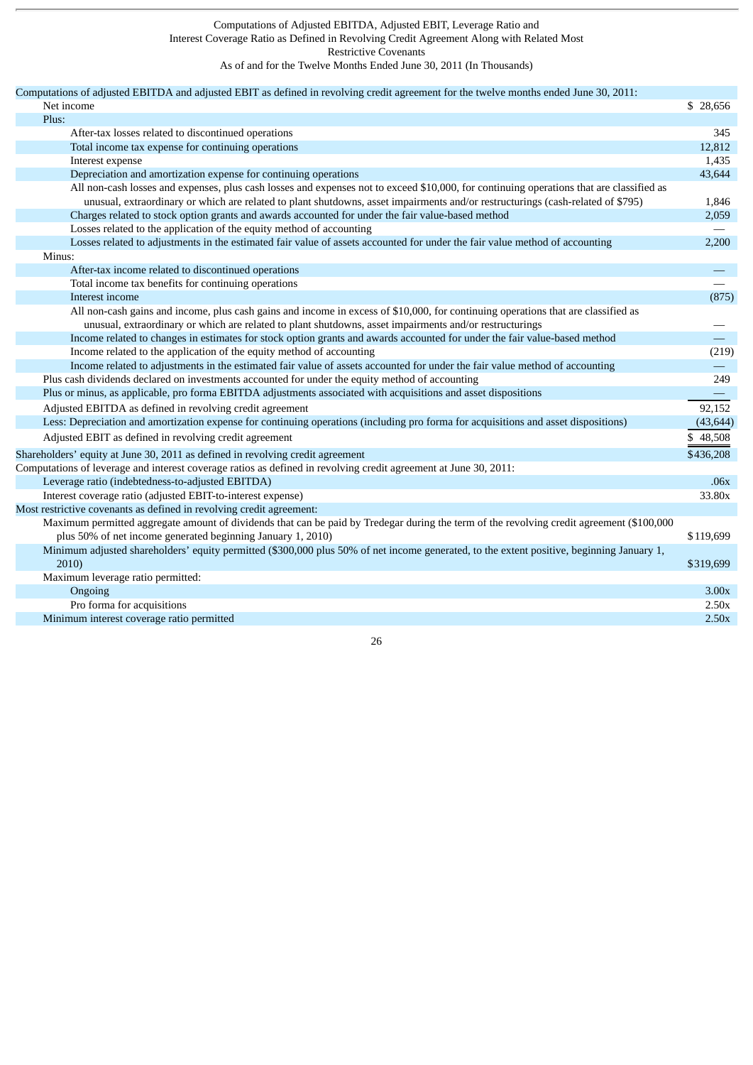Computations of Adjusted EBITDA, Adjusted EBIT, Leverage Ratio and Interest Coverage Ratio as Defined in Revolving Credit Agreement Along with Related Most

Restrictive Covenants

As of and for the Twelve Months Ended June 30, 2011 (In Thousands)

| Computations of adjusted EBITDA and adjusted EBIT as defined in revolving credit agreement for the twelve months ended June 30, 2011:<br>\$ 28,656<br>Net income<br>Plus:<br>After-tax losses related to discontinued operations<br>345<br>Total income tax expense for continuing operations<br>12,812<br>1,435<br>Interest expense<br>43,644<br>Depreciation and amortization expense for continuing operations<br>All non-cash losses and expenses, plus cash losses and expenses not to exceed \$10,000, for continuing operations that are classified as<br>unusual, extraordinary or which are related to plant shutdowns, asset impairments and/or restructurings (cash-related of \$795)<br>1,846<br>Charges related to stock option grants and awards accounted for under the fair value-based method<br>2,059<br>Losses related to the application of the equity method of accounting<br>Losses related to adjustments in the estimated fair value of assets accounted for under the fair value method of accounting<br>2,200<br>Minus:<br>After-tax income related to discontinued operations<br>Total income tax benefits for continuing operations<br>(875)<br>Interest income<br>All non-cash gains and income, plus cash gains and income in excess of \$10,000, for continuing operations that are classified as<br>unusual, extraordinary or which are related to plant shutdowns, asset impairments and/or restructurings<br>Income related to changes in estimates for stock option grants and awards accounted for under the fair value-based method<br>Income related to the application of the equity method of accounting<br>(219)<br>Income related to adjustments in the estimated fair value of assets accounted for under the fair value method of accounting<br>Plus cash dividends declared on investments accounted for under the equity method of accounting<br>249 |
|----------------------------------------------------------------------------------------------------------------------------------------------------------------------------------------------------------------------------------------------------------------------------------------------------------------------------------------------------------------------------------------------------------------------------------------------------------------------------------------------------------------------------------------------------------------------------------------------------------------------------------------------------------------------------------------------------------------------------------------------------------------------------------------------------------------------------------------------------------------------------------------------------------------------------------------------------------------------------------------------------------------------------------------------------------------------------------------------------------------------------------------------------------------------------------------------------------------------------------------------------------------------------------------------------------------------------------------------------------------------------------------------------------------------------------------------------------------------------------------------------------------------------------------------------------------------------------------------------------------------------------------------------------------------------------------------------------------------------------------------------------------------------------------------------------------------------------------------------------------------------------------------------|
|                                                                                                                                                                                                                                                                                                                                                                                                                                                                                                                                                                                                                                                                                                                                                                                                                                                                                                                                                                                                                                                                                                                                                                                                                                                                                                                                                                                                                                                                                                                                                                                                                                                                                                                                                                                                                                                                                                    |
|                                                                                                                                                                                                                                                                                                                                                                                                                                                                                                                                                                                                                                                                                                                                                                                                                                                                                                                                                                                                                                                                                                                                                                                                                                                                                                                                                                                                                                                                                                                                                                                                                                                                                                                                                                                                                                                                                                    |
|                                                                                                                                                                                                                                                                                                                                                                                                                                                                                                                                                                                                                                                                                                                                                                                                                                                                                                                                                                                                                                                                                                                                                                                                                                                                                                                                                                                                                                                                                                                                                                                                                                                                                                                                                                                                                                                                                                    |
|                                                                                                                                                                                                                                                                                                                                                                                                                                                                                                                                                                                                                                                                                                                                                                                                                                                                                                                                                                                                                                                                                                                                                                                                                                                                                                                                                                                                                                                                                                                                                                                                                                                                                                                                                                                                                                                                                                    |
|                                                                                                                                                                                                                                                                                                                                                                                                                                                                                                                                                                                                                                                                                                                                                                                                                                                                                                                                                                                                                                                                                                                                                                                                                                                                                                                                                                                                                                                                                                                                                                                                                                                                                                                                                                                                                                                                                                    |
|                                                                                                                                                                                                                                                                                                                                                                                                                                                                                                                                                                                                                                                                                                                                                                                                                                                                                                                                                                                                                                                                                                                                                                                                                                                                                                                                                                                                                                                                                                                                                                                                                                                                                                                                                                                                                                                                                                    |
|                                                                                                                                                                                                                                                                                                                                                                                                                                                                                                                                                                                                                                                                                                                                                                                                                                                                                                                                                                                                                                                                                                                                                                                                                                                                                                                                                                                                                                                                                                                                                                                                                                                                                                                                                                                                                                                                                                    |
|                                                                                                                                                                                                                                                                                                                                                                                                                                                                                                                                                                                                                                                                                                                                                                                                                                                                                                                                                                                                                                                                                                                                                                                                                                                                                                                                                                                                                                                                                                                                                                                                                                                                                                                                                                                                                                                                                                    |
|                                                                                                                                                                                                                                                                                                                                                                                                                                                                                                                                                                                                                                                                                                                                                                                                                                                                                                                                                                                                                                                                                                                                                                                                                                                                                                                                                                                                                                                                                                                                                                                                                                                                                                                                                                                                                                                                                                    |
|                                                                                                                                                                                                                                                                                                                                                                                                                                                                                                                                                                                                                                                                                                                                                                                                                                                                                                                                                                                                                                                                                                                                                                                                                                                                                                                                                                                                                                                                                                                                                                                                                                                                                                                                                                                                                                                                                                    |
|                                                                                                                                                                                                                                                                                                                                                                                                                                                                                                                                                                                                                                                                                                                                                                                                                                                                                                                                                                                                                                                                                                                                                                                                                                                                                                                                                                                                                                                                                                                                                                                                                                                                                                                                                                                                                                                                                                    |
|                                                                                                                                                                                                                                                                                                                                                                                                                                                                                                                                                                                                                                                                                                                                                                                                                                                                                                                                                                                                                                                                                                                                                                                                                                                                                                                                                                                                                                                                                                                                                                                                                                                                                                                                                                                                                                                                                                    |
|                                                                                                                                                                                                                                                                                                                                                                                                                                                                                                                                                                                                                                                                                                                                                                                                                                                                                                                                                                                                                                                                                                                                                                                                                                                                                                                                                                                                                                                                                                                                                                                                                                                                                                                                                                                                                                                                                                    |
|                                                                                                                                                                                                                                                                                                                                                                                                                                                                                                                                                                                                                                                                                                                                                                                                                                                                                                                                                                                                                                                                                                                                                                                                                                                                                                                                                                                                                                                                                                                                                                                                                                                                                                                                                                                                                                                                                                    |
|                                                                                                                                                                                                                                                                                                                                                                                                                                                                                                                                                                                                                                                                                                                                                                                                                                                                                                                                                                                                                                                                                                                                                                                                                                                                                                                                                                                                                                                                                                                                                                                                                                                                                                                                                                                                                                                                                                    |
|                                                                                                                                                                                                                                                                                                                                                                                                                                                                                                                                                                                                                                                                                                                                                                                                                                                                                                                                                                                                                                                                                                                                                                                                                                                                                                                                                                                                                                                                                                                                                                                                                                                                                                                                                                                                                                                                                                    |
|                                                                                                                                                                                                                                                                                                                                                                                                                                                                                                                                                                                                                                                                                                                                                                                                                                                                                                                                                                                                                                                                                                                                                                                                                                                                                                                                                                                                                                                                                                                                                                                                                                                                                                                                                                                                                                                                                                    |
|                                                                                                                                                                                                                                                                                                                                                                                                                                                                                                                                                                                                                                                                                                                                                                                                                                                                                                                                                                                                                                                                                                                                                                                                                                                                                                                                                                                                                                                                                                                                                                                                                                                                                                                                                                                                                                                                                                    |
|                                                                                                                                                                                                                                                                                                                                                                                                                                                                                                                                                                                                                                                                                                                                                                                                                                                                                                                                                                                                                                                                                                                                                                                                                                                                                                                                                                                                                                                                                                                                                                                                                                                                                                                                                                                                                                                                                                    |
|                                                                                                                                                                                                                                                                                                                                                                                                                                                                                                                                                                                                                                                                                                                                                                                                                                                                                                                                                                                                                                                                                                                                                                                                                                                                                                                                                                                                                                                                                                                                                                                                                                                                                                                                                                                                                                                                                                    |
|                                                                                                                                                                                                                                                                                                                                                                                                                                                                                                                                                                                                                                                                                                                                                                                                                                                                                                                                                                                                                                                                                                                                                                                                                                                                                                                                                                                                                                                                                                                                                                                                                                                                                                                                                                                                                                                                                                    |
|                                                                                                                                                                                                                                                                                                                                                                                                                                                                                                                                                                                                                                                                                                                                                                                                                                                                                                                                                                                                                                                                                                                                                                                                                                                                                                                                                                                                                                                                                                                                                                                                                                                                                                                                                                                                                                                                                                    |
| Plus or minus, as applicable, pro forma EBITDA adjustments associated with acquisitions and asset dispositions                                                                                                                                                                                                                                                                                                                                                                                                                                                                                                                                                                                                                                                                                                                                                                                                                                                                                                                                                                                                                                                                                                                                                                                                                                                                                                                                                                                                                                                                                                                                                                                                                                                                                                                                                                                     |
| Adjusted EBITDA as defined in revolving credit agreement<br>92,152                                                                                                                                                                                                                                                                                                                                                                                                                                                                                                                                                                                                                                                                                                                                                                                                                                                                                                                                                                                                                                                                                                                                                                                                                                                                                                                                                                                                                                                                                                                                                                                                                                                                                                                                                                                                                                 |
| Less: Depreciation and amortization expense for continuing operations (including pro forma for acquisitions and asset dispositions)<br>(43, 644)                                                                                                                                                                                                                                                                                                                                                                                                                                                                                                                                                                                                                                                                                                                                                                                                                                                                                                                                                                                                                                                                                                                                                                                                                                                                                                                                                                                                                                                                                                                                                                                                                                                                                                                                                   |
| \$48,508<br>Adjusted EBIT as defined in revolving credit agreement                                                                                                                                                                                                                                                                                                                                                                                                                                                                                                                                                                                                                                                                                                                                                                                                                                                                                                                                                                                                                                                                                                                                                                                                                                                                                                                                                                                                                                                                                                                                                                                                                                                                                                                                                                                                                                 |
| \$436,208<br>Shareholders' equity at June 30, 2011 as defined in revolving credit agreement                                                                                                                                                                                                                                                                                                                                                                                                                                                                                                                                                                                                                                                                                                                                                                                                                                                                                                                                                                                                                                                                                                                                                                                                                                                                                                                                                                                                                                                                                                                                                                                                                                                                                                                                                                                                        |
| Computations of leverage and interest coverage ratios as defined in revolving credit agreement at June 30, 2011:                                                                                                                                                                                                                                                                                                                                                                                                                                                                                                                                                                                                                                                                                                                                                                                                                                                                                                                                                                                                                                                                                                                                                                                                                                                                                                                                                                                                                                                                                                                                                                                                                                                                                                                                                                                   |
| Leverage ratio (indebtedness-to-adjusted EBITDA)<br>.06x                                                                                                                                                                                                                                                                                                                                                                                                                                                                                                                                                                                                                                                                                                                                                                                                                                                                                                                                                                                                                                                                                                                                                                                                                                                                                                                                                                                                                                                                                                                                                                                                                                                                                                                                                                                                                                           |
| Interest coverage ratio (adjusted EBIT-to-interest expense)<br>33.80x                                                                                                                                                                                                                                                                                                                                                                                                                                                                                                                                                                                                                                                                                                                                                                                                                                                                                                                                                                                                                                                                                                                                                                                                                                                                                                                                                                                                                                                                                                                                                                                                                                                                                                                                                                                                                              |
| Most restrictive covenants as defined in revolving credit agreement:                                                                                                                                                                                                                                                                                                                                                                                                                                                                                                                                                                                                                                                                                                                                                                                                                                                                                                                                                                                                                                                                                                                                                                                                                                                                                                                                                                                                                                                                                                                                                                                                                                                                                                                                                                                                                               |
| Maximum permitted aggregate amount of dividends that can be paid by Tredegar during the term of the revolving credit agreement (\$100,000                                                                                                                                                                                                                                                                                                                                                                                                                                                                                                                                                                                                                                                                                                                                                                                                                                                                                                                                                                                                                                                                                                                                                                                                                                                                                                                                                                                                                                                                                                                                                                                                                                                                                                                                                          |
| plus 50% of net income generated beginning January 1, 2010)<br>\$119,699                                                                                                                                                                                                                                                                                                                                                                                                                                                                                                                                                                                                                                                                                                                                                                                                                                                                                                                                                                                                                                                                                                                                                                                                                                                                                                                                                                                                                                                                                                                                                                                                                                                                                                                                                                                                                           |
| Minimum adjusted shareholders' equity permitted (\$300,000 plus 50% of net income generated, to the extent positive, beginning January 1,                                                                                                                                                                                                                                                                                                                                                                                                                                                                                                                                                                                                                                                                                                                                                                                                                                                                                                                                                                                                                                                                                                                                                                                                                                                                                                                                                                                                                                                                                                                                                                                                                                                                                                                                                          |
| 2010)<br>\$319,699                                                                                                                                                                                                                                                                                                                                                                                                                                                                                                                                                                                                                                                                                                                                                                                                                                                                                                                                                                                                                                                                                                                                                                                                                                                                                                                                                                                                                                                                                                                                                                                                                                                                                                                                                                                                                                                                                 |
| Maximum leverage ratio permitted:                                                                                                                                                                                                                                                                                                                                                                                                                                                                                                                                                                                                                                                                                                                                                                                                                                                                                                                                                                                                                                                                                                                                                                                                                                                                                                                                                                                                                                                                                                                                                                                                                                                                                                                                                                                                                                                                  |
| Ongoing<br>3.00x                                                                                                                                                                                                                                                                                                                                                                                                                                                                                                                                                                                                                                                                                                                                                                                                                                                                                                                                                                                                                                                                                                                                                                                                                                                                                                                                                                                                                                                                                                                                                                                                                                                                                                                                                                                                                                                                                   |
| Pro forma for acquisitions<br>2.50x                                                                                                                                                                                                                                                                                                                                                                                                                                                                                                                                                                                                                                                                                                                                                                                                                                                                                                                                                                                                                                                                                                                                                                                                                                                                                                                                                                                                                                                                                                                                                                                                                                                                                                                                                                                                                                                                |
| 2.50x<br>Minimum interest coverage ratio permitted                                                                                                                                                                                                                                                                                                                                                                                                                                                                                                                                                                                                                                                                                                                                                                                                                                                                                                                                                                                                                                                                                                                                                                                                                                                                                                                                                                                                                                                                                                                                                                                                                                                                                                                                                                                                                                                 |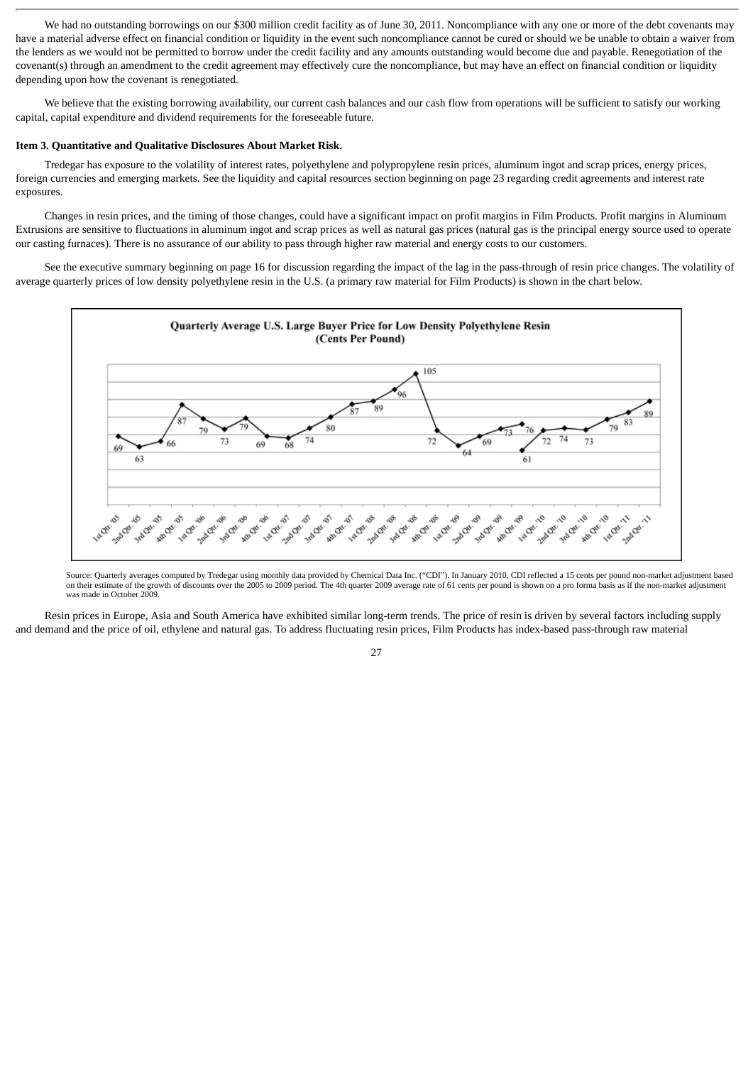We had no outstanding borrowings on our \$300 million credit facility as of June 30, 2011. Noncompliance with any one or more of the debt covenants may have a material adverse effect on financial condition or liquidity in the event such noncompliance cannot be cured or should we be unable to obtain a waiver from the lenders as we would not be permitted to borrow under the credit facility and any amounts outstanding would become due and payable. Renegotiation of the covenant(s) through an amendment to the credit agreement may effectively cure the noncompliance, but may have an effect on financial condition or liquidity depending upon how the covenant is renegotiated.

We believe that the existing borrowing availability, our current cash balances and our cash flow from operations will be sufficient to satisfy our working capital, capital expenditure and dividend requirements for the foreseeable future.

#### **Item 3. Quantitative and Qualitative Disclosures About Market Risk.**

Tredegar has exposure to the volatility of interest rates, polyethylene and polypropylene resin prices, aluminum ingot and scrap prices, energy prices, foreign currencies and emerging markets. See the liquidity and capital resources section beginning on page 23 regarding credit agreements and interest rate exposures.

Changes in resin prices, and the timing of those changes, could have a significant impact on profit margins in Film Products. Profit margins in Aluminum Extrusions are sensitive to fluctuations in aluminum ingot and scrap prices as well as natural gas prices (natural gas is the principal energy source used to operate our casting furnaces). There is no assurance of our ability to pass through higher raw material and energy costs to our customers.

See the executive summary beginning on page 16 for discussion regarding the impact of the lag in the pass-through of resin price changes. The volatility of average quarterly prices of low density polyethylene resin in the U.S. (a primary raw material for Film Products) is shown in the chart below.



Source: Quarterly averages computed by Tredegar using monthly data provided by Chemical Data Inc. ("CDI"). In January 2010, CDI reflected a 15 cents per pound non-market adjustment based on their estimate of the growth of discounts over the 2005 to 2009 period. The 4th quarter 2009 average rate of 61 cents per pound is shown on a pro forma basis as if the non-market adjustment was made in October 2009.

Resin prices in Europe, Asia and South America have exhibited similar long-term trends. The price of resin is driven by several factors including supply and demand and the price of oil, ethylene and natural gas. To address fluctuating resin prices, Film Products has index-based pass-through raw material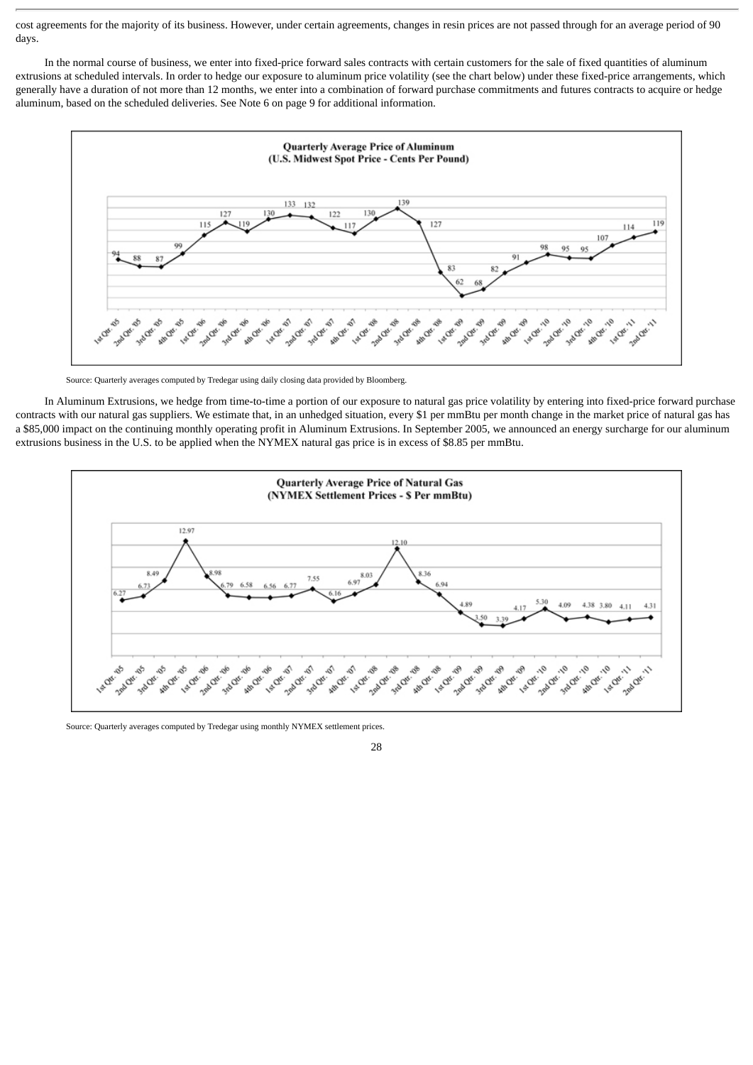cost agreements for the majority of its business. However, under certain agreements, changes in resin prices are not passed through for an average period of 90 days.

In the normal course of business, we enter into fixed-price forward sales contracts with certain customers for the sale of fixed quantities of aluminum extrusions at scheduled intervals. In order to hedge our exposure to aluminum price volatility (see the chart below) under these fixed-price arrangements, which generally have a duration of not more than 12 months, we enter into a combination of forward purchase commitments and futures contracts to acquire or hedge aluminum, based on the scheduled deliveries. See Note 6 on page 9 for additional information.



Source: Quarterly averages computed by Tredegar using daily closing data provided by Bloomberg.

In Aluminum Extrusions, we hedge from time-to-time a portion of our exposure to natural gas price volatility by entering into fixed-price forward purchase contracts with our natural gas suppliers. We estimate that, in an unhedged situation, every \$1 per mmBtu per month change in the market price of natural gas has a \$85,000 impact on the continuing monthly operating profit in Aluminum Extrusions. In September 2005, we announced an energy surcharge for our aluminum extrusions business in the U.S. to be applied when the NYMEX natural gas price is in excess of \$8.85 per mmBtu.



Source: Quarterly averages computed by Tredegar using monthly NYMEX settlement prices.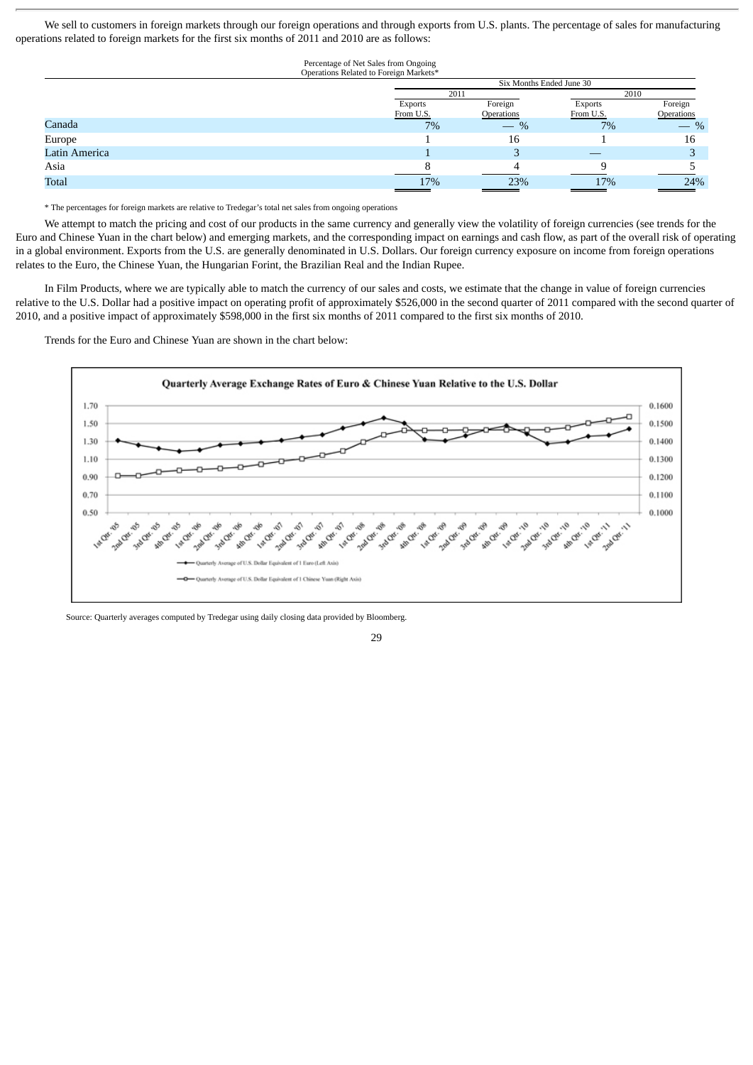We sell to customers in foreign markets through our foreign operations and through exports from U.S. plants. The percentage of sales for manufacturing operations related to foreign markets for the first six months of 2011 and 2010 are as follows:

|               | Percentage of Net Sales from Ongoing<br>Operations Related to Foreign Markets* |                          |           |            |  |
|---------------|--------------------------------------------------------------------------------|--------------------------|-----------|------------|--|
|               |                                                                                | Six Months Ended June 30 |           |            |  |
|               |                                                                                | 2011<br>2010             |           |            |  |
|               | Exports                                                                        | Foreign                  | Exports   | Foreign    |  |
|               | From U.S.                                                                      | Operations               | From U.S. | Operations |  |
| Canada        | 7%                                                                             | $-$ %                    | 7%        | $-$ %      |  |
| Europe        |                                                                                | 16                       |           | 16         |  |
| Latin America |                                                                                |                          |           |            |  |
| Asia          |                                                                                |                          |           |            |  |
| <b>Total</b>  | 17%                                                                            | 23%                      | 17%       | 24%        |  |

\* The percentages for foreign markets are relative to Tredegar's total net sales from ongoing operations

We attempt to match the pricing and cost of our products in the same currency and generally view the volatility of foreign currencies (see trends for the Euro and Chinese Yuan in the chart below) and emerging markets, and the corresponding impact on earnings and cash flow, as part of the overall risk of operating in a global environment. Exports from the U.S. are generally denominated in U.S. Dollars. Our foreign currency exposure on income from foreign operations relates to the Euro, the Chinese Yuan, the Hungarian Forint, the Brazilian Real and the Indian Rupee.

In Film Products, where we are typically able to match the currency of our sales and costs, we estimate that the change in value of foreign currencies relative to the U.S. Dollar had a positive impact on operating profit of approximately \$526,000 in the second quarter of 2011 compared with the second quarter of 2010, and a positive impact of approximately \$598,000 in the first six months of 2011 compared to the first six months of 2010.

Trends for the Euro and Chinese Yuan are shown in the chart below:



Source: Quarterly averages computed by Tredegar using daily closing data provided by Bloomberg.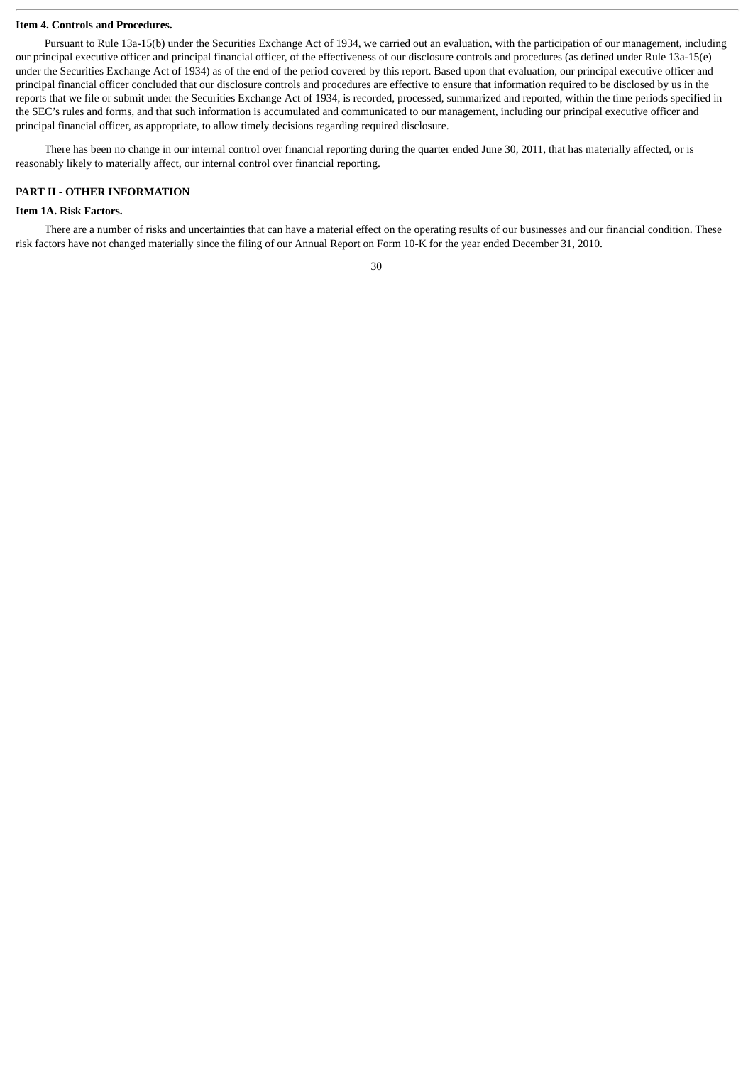#### **Item 4. Controls and Procedures.**

Pursuant to Rule 13a-15(b) under the Securities Exchange Act of 1934, we carried out an evaluation, with the participation of our management, including our principal executive officer and principal financial officer, of the effectiveness of our disclosure controls and procedures (as defined under Rule 13a-15(e) under the Securities Exchange Act of 1934) as of the end of the period covered by this report. Based upon that evaluation, our principal executive officer and principal financial officer concluded that our disclosure controls and procedures are effective to ensure that information required to be disclosed by us in the reports that we file or submit under the Securities Exchange Act of 1934, is recorded, processed, summarized and reported, within the time periods specified in the SEC's rules and forms, and that such information is accumulated and communicated to our management, including our principal executive officer and principal financial officer, as appropriate, to allow timely decisions regarding required disclosure.

There has been no change in our internal control over financial reporting during the quarter ended June 30, 2011, that has materially affected, or is reasonably likely to materially affect, our internal control over financial reporting.

# **PART II - OTHER INFORMATION**

## **Item 1A. Risk Factors.**

There are a number of risks and uncertainties that can have a material effect on the operating results of our businesses and our financial condition. These risk factors have not changed materially since the filing of our Annual Report on Form 10-K for the year ended December 31, 2010.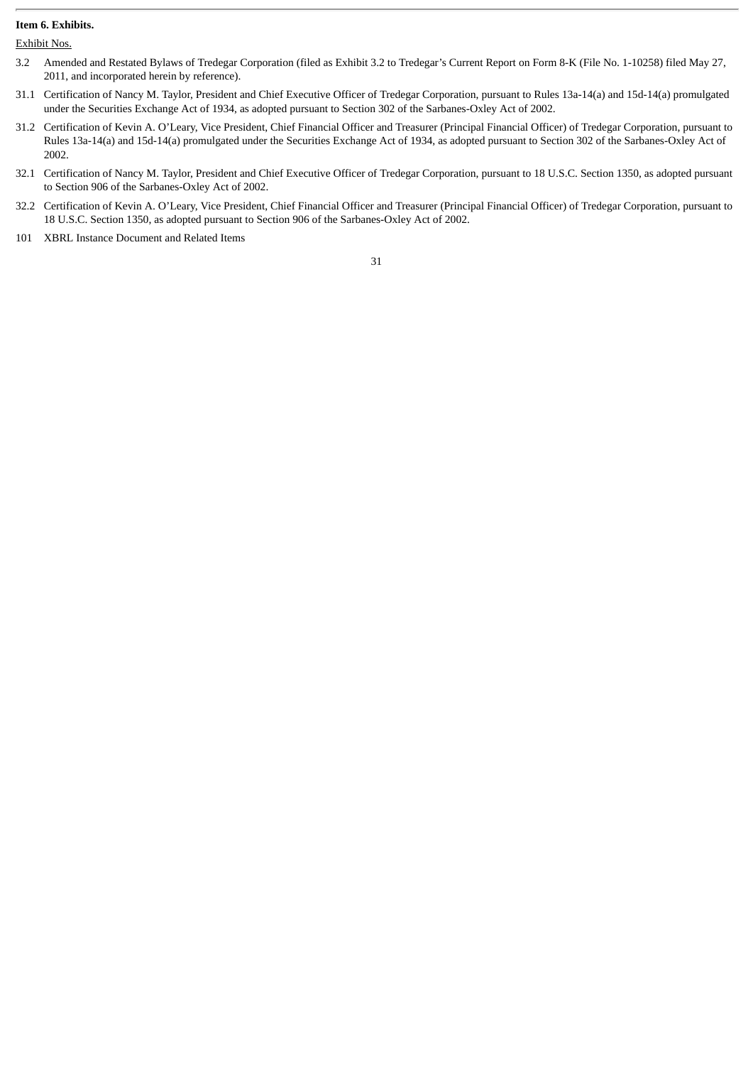#### **Item 6. Exhibits.**

Exhibit Nos.

- 3.2 Amended and Restated Bylaws of Tredegar Corporation (filed as Exhibit 3.2 to Tredegar's Current Report on Form 8-K (File No. 1-10258) filed May 27, 2011, and incorporated herein by reference).
- 31.1 Certification of Nancy M. Taylor, President and Chief Executive Officer of Tredegar Corporation, pursuant to Rules 13a-14(a) and 15d-14(a) promulgated under the Securities Exchange Act of 1934, as adopted pursuant to Section 302 of the Sarbanes-Oxley Act of 2002.
- 31.2 Certification of Kevin A. O'Leary, Vice President, Chief Financial Officer and Treasurer (Principal Financial Officer) of Tredegar Corporation, pursuant to Rules 13a-14(a) and 15d-14(a) promulgated under the Securities Exchange Act of 1934, as adopted pursuant to Section 302 of the Sarbanes-Oxley Act of 2002.
- 32.1 Certification of Nancy M. Taylor, President and Chief Executive Officer of Tredegar Corporation, pursuant to 18 U.S.C. Section 1350, as adopted pursuant to Section 906 of the Sarbanes-Oxley Act of 2002.
- 32.2 Certification of Kevin A. O'Leary, Vice President, Chief Financial Officer and Treasurer (Principal Financial Officer) of Tredegar Corporation, pursuant to 18 U.S.C. Section 1350, as adopted pursuant to Section 906 of the Sarbanes-Oxley Act of 2002.
- 101 XBRL Instance Document and Related Items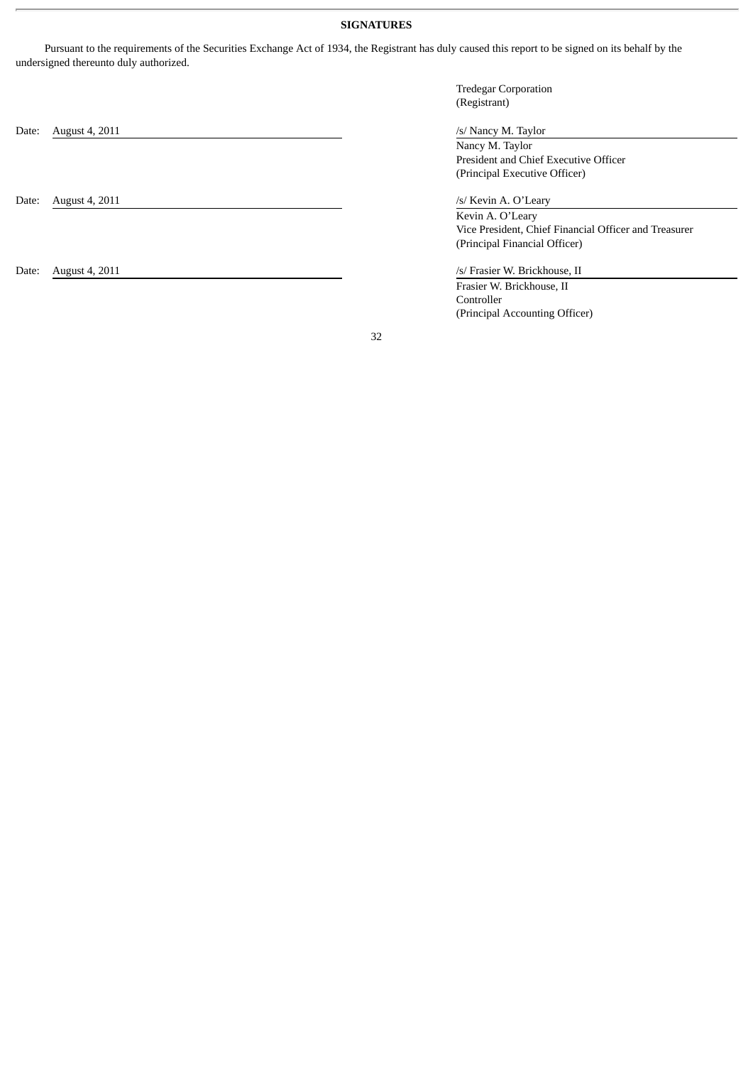# **SIGNATURES**

Pursuant to the requirements of the Securities Exchange Act of 1934, the Registrant has duly caused this report to be signed on its behalf by the undersigned thereunto duly authorized.

> Tredegar Corporation (Registrant)

Date: August 4, 2011 **Date:** August 4, 2011

Nancy M. Taylor President and Chief Executive Officer (Principal Executive Officer)

Kevin A. O'Leary Vice President, Chief Financial Officer and Treasurer (Principal Financial Officer)

Date: August 4, 2011 /s/ Frasier W. Brickhouse, II

Frasier W. Brickhouse, II Controller (Principal Accounting Officer)

32

Date: August 4, 2011 /s/ Kevin A. O'Leary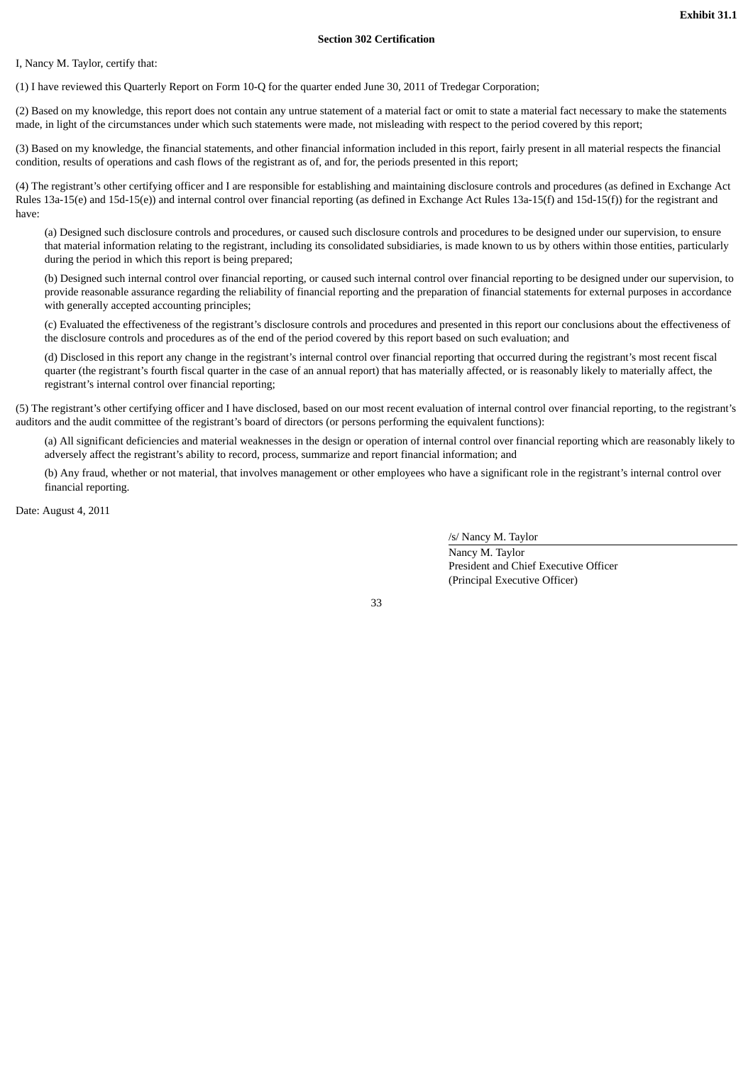I, Nancy M. Taylor, certify that:

(1) I have reviewed this Quarterly Report on Form 10-Q for the quarter ended June 30, 2011 of Tredegar Corporation;

(2) Based on my knowledge, this report does not contain any untrue statement of a material fact or omit to state a material fact necessary to make the statements made, in light of the circumstances under which such statements were made, not misleading with respect to the period covered by this report;

(3) Based on my knowledge, the financial statements, and other financial information included in this report, fairly present in all material respects the financial condition, results of operations and cash flows of the registrant as of, and for, the periods presented in this report;

(4) The registrant's other certifying officer and I are responsible for establishing and maintaining disclosure controls and procedures (as defined in Exchange Act Rules 13a-15(e) and 15d-15(e)) and internal control over financial reporting (as defined in Exchange Act Rules 13a-15(f) and 15d-15(f)) for the registrant and have:

(a) Designed such disclosure controls and procedures, or caused such disclosure controls and procedures to be designed under our supervision, to ensure that material information relating to the registrant, including its consolidated subsidiaries, is made known to us by others within those entities, particularly during the period in which this report is being prepared;

(b) Designed such internal control over financial reporting, or caused such internal control over financial reporting to be designed under our supervision, to provide reasonable assurance regarding the reliability of financial reporting and the preparation of financial statements for external purposes in accordance with generally accepted accounting principles;

(c) Evaluated the effectiveness of the registrant's disclosure controls and procedures and presented in this report our conclusions about the effectiveness of the disclosure controls and procedures as of the end of the period covered by this report based on such evaluation; and

(d) Disclosed in this report any change in the registrant's internal control over financial reporting that occurred during the registrant's most recent fiscal quarter (the registrant's fourth fiscal quarter in the case of an annual report) that has materially affected, or is reasonably likely to materially affect, the registrant's internal control over financial reporting;

(5) The registrant's other certifying officer and I have disclosed, based on our most recent evaluation of internal control over financial reporting, to the registrant's auditors and the audit committee of the registrant's board of directors (or persons performing the equivalent functions):

(a) All significant deficiencies and material weaknesses in the design or operation of internal control over financial reporting which are reasonably likely to adversely affect the registrant's ability to record, process, summarize and report financial information; and

(b) Any fraud, whether or not material, that involves management or other employees who have a significant role in the registrant's internal control over financial reporting.

Date: August 4, 2011

/s/ Nancy M. Taylor

Nancy M. Taylor President and Chief Executive Officer (Principal Executive Officer)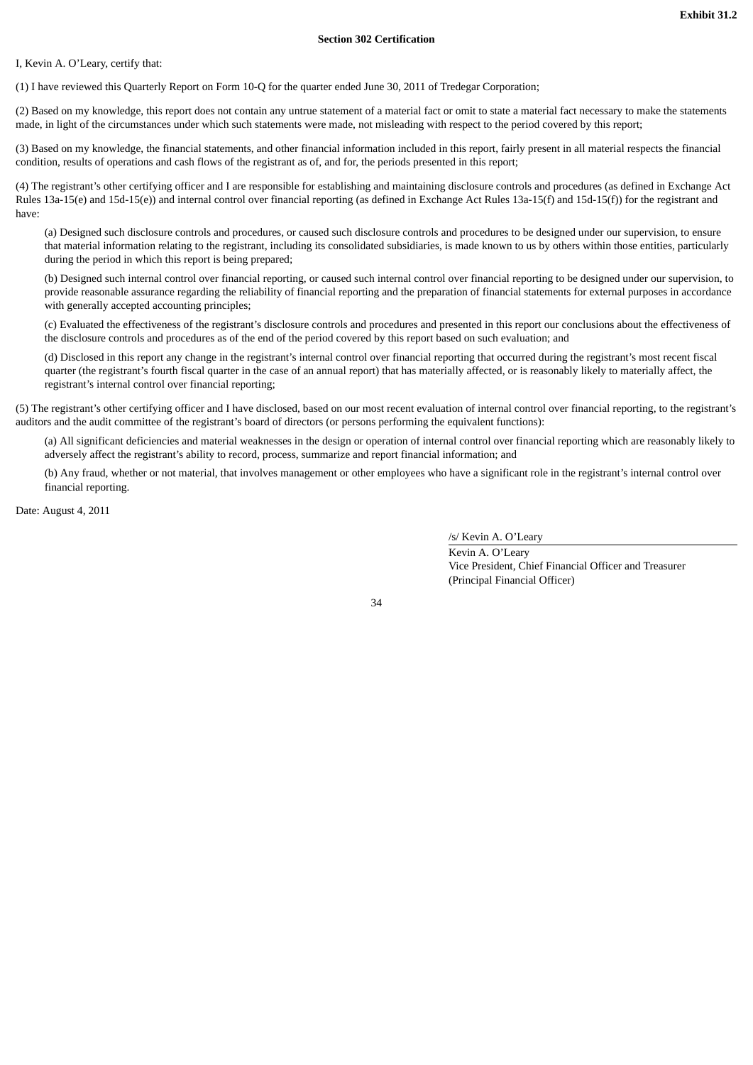I, Kevin A. O'Leary, certify that:

(1) I have reviewed this Quarterly Report on Form 10-Q for the quarter ended June 30, 2011 of Tredegar Corporation;

(2) Based on my knowledge, this report does not contain any untrue statement of a material fact or omit to state a material fact necessary to make the statements made, in light of the circumstances under which such statements were made, not misleading with respect to the period covered by this report;

(3) Based on my knowledge, the financial statements, and other financial information included in this report, fairly present in all material respects the financial condition, results of operations and cash flows of the registrant as of, and for, the periods presented in this report;

(4) The registrant's other certifying officer and I are responsible for establishing and maintaining disclosure controls and procedures (as defined in Exchange Act Rules 13a-15(e) and 15d-15(e)) and internal control over financial reporting (as defined in Exchange Act Rules 13a-15(f) and 15d-15(f)) for the registrant and have:

(a) Designed such disclosure controls and procedures, or caused such disclosure controls and procedures to be designed under our supervision, to ensure that material information relating to the registrant, including its consolidated subsidiaries, is made known to us by others within those entities, particularly during the period in which this report is being prepared;

(b) Designed such internal control over financial reporting, or caused such internal control over financial reporting to be designed under our supervision, to provide reasonable assurance regarding the reliability of financial reporting and the preparation of financial statements for external purposes in accordance with generally accepted accounting principles;

(c) Evaluated the effectiveness of the registrant's disclosure controls and procedures and presented in this report our conclusions about the effectiveness of the disclosure controls and procedures as of the end of the period covered by this report based on such evaluation; and

(d) Disclosed in this report any change in the registrant's internal control over financial reporting that occurred during the registrant's most recent fiscal quarter (the registrant's fourth fiscal quarter in the case of an annual report) that has materially affected, or is reasonably likely to materially affect, the registrant's internal control over financial reporting;

(5) The registrant's other certifying officer and I have disclosed, based on our most recent evaluation of internal control over financial reporting, to the registrant's auditors and the audit committee of the registrant's board of directors (or persons performing the equivalent functions):

(a) All significant deficiencies and material weaknesses in the design or operation of internal control over financial reporting which are reasonably likely to adversely affect the registrant's ability to record, process, summarize and report financial information; and

(b) Any fraud, whether or not material, that involves management or other employees who have a significant role in the registrant's internal control over financial reporting.

Date: August 4, 2011

/s/ Kevin A. O'Leary

Kevin A. O'Leary Vice President, Chief Financial Officer and Treasurer (Principal Financial Officer)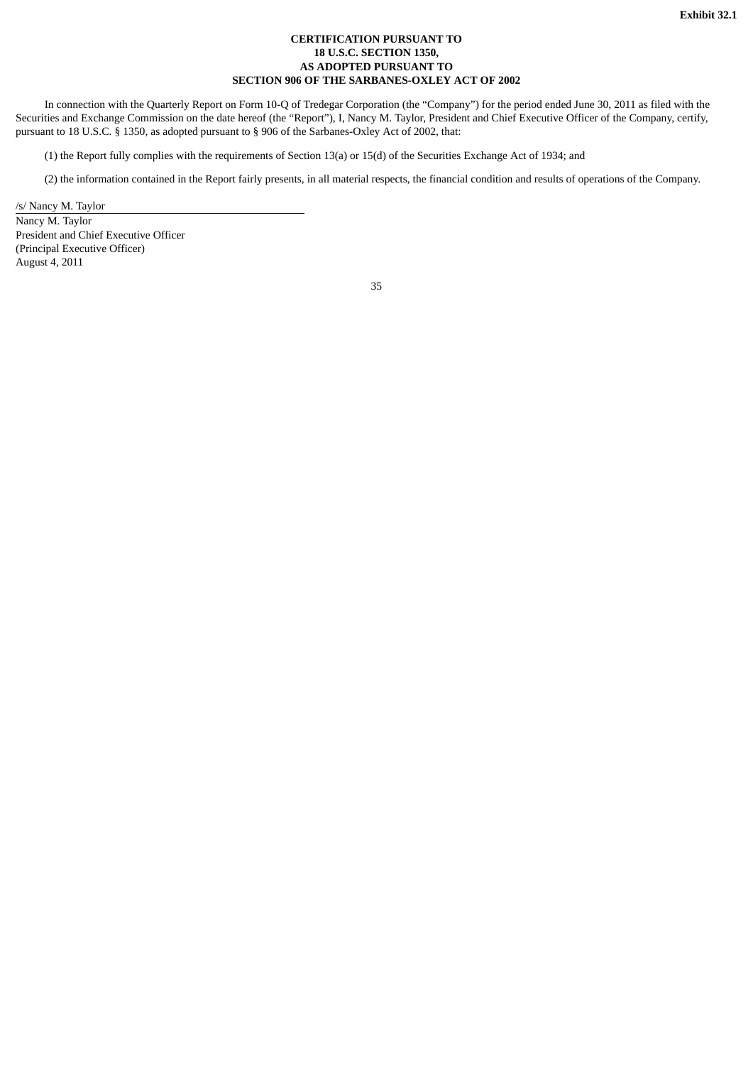# **CERTIFICATION PURSUANT TO 18 U.S.C. SECTION 1350, AS ADOPTED PURSUANT TO SECTION 906 OF THE SARBANES-OXLEY ACT OF 2002**

In connection with the Quarterly Report on Form 10-Q of Tredegar Corporation (the "Company") for the period ended June 30, 2011 as filed with the Securities and Exchange Commission on the date hereof (the "Report"), I, Nancy M. Taylor, President and Chief Executive Officer of the Company, certify, pursuant to 18 U.S.C. § 1350, as adopted pursuant to § 906 of the Sarbanes-Oxley Act of 2002, that:

(1) the Report fully complies with the requirements of Section 13(a) or 15(d) of the Securities Exchange Act of 1934; and

(2) the information contained in the Report fairly presents, in all material respects, the financial condition and results of operations of the Company.

/s/ Nancy M. Taylor

Nancy M. Taylor President and Chief Executive Officer (Principal Executive Officer) August 4, 2011